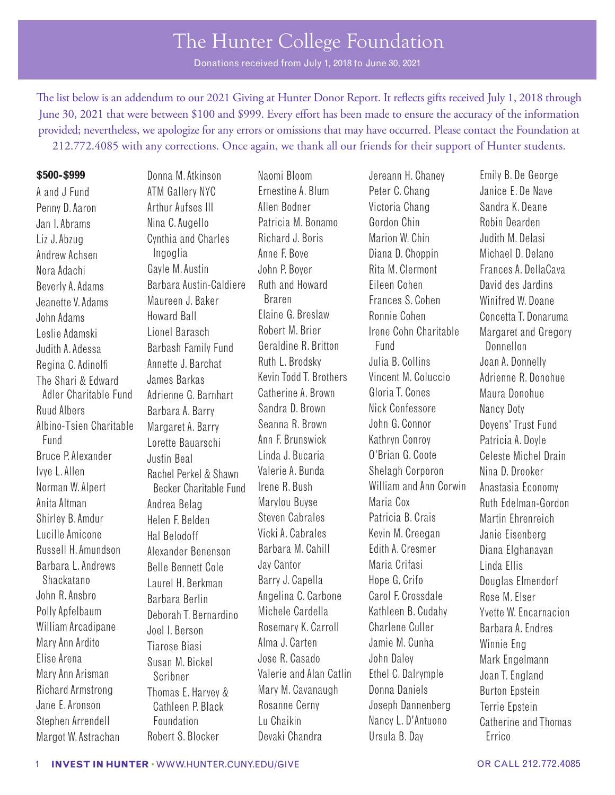Donations received from July 1, 2018 to June 30, 2021

The list below is an addendum to our 2021 Giving at Hunter Donor Report. It reflects gifts received July 1, 2018 through June 30, 2021 that were between \$100 and \$999. Every efort has been made to ensure the accuracy of the information provided; nevertheless, we apologize for any errors or omissions that may have occurred. Please contact the Foundation at 212.772.4085 with any corrections. Once again, we thank all our friends for their support of Hunter students.

#### **\$500-\$999**

A and J Fund Penny D. Aaron Jan I. Abrams Liz J. Abzug Andrew Achsen Nora Adachi Beverly A. Adams Jeanette V. Adams John Adams Leslie Adamski Judith A. Adessa Regina C. Adinolf The Shari & Edward Adler Charitable Fund Ruud Albers Albino-Tsien Charitable Fund Bruce P. Alexander Ivye L. Allen Norman W. Alpert Anita Altman Shirley B. Amdur Lucille Amicone Russell H. Amundson Barbara L. Andrews Shackatano John R. Ansbro Polly Apfelbaum William Arcadipane Mary Ann Ardito Elise Arena Mary Ann Arisman Richard Armstrong Jane E. Aronson Stephen Arrendell Margot W. Astrachan

ATM Gallery NYC Arthur Aufses III Nina C. Augello Cynthia and Charles Ingoglia Gayle M. Austin Barbara Austin-Caldiere Maureen J. Baker Howard Ball Lionel Barasch Barbash Family Fund Annette J. Barchat James Barkas Adrienne G. Barnhart Barbara A. Barry Margaret A. Barry Lorette Bauarschi Justin Beal Rachel Perkel & Shawn Becker Charitable Fund Andrea Belag Helen F. Belden Hal Belodoff Alexander Benenson Belle Bennett Cole Laurel H. Berkman Barbara Berlin Deborah T. Bernardino Joel I. Berson Tiarose Biasi Susan M. Bickel Scribner Thomas E. Harvey & Cathleen P. Black Foundation Robert S. Blocker

Donna M. Atkinson

Naomi Bloom Ernestine A. Blum Allen Bodner Patricia M. Bonamo Richard J. Boris Anne F. Bove John P. Boyer Ruth and Howard Braren Elaine G. Breslaw Robert M. Brier Geraldine R. Britton Ruth L. Brodsky Kevin Todd T. Brothers Catherine A. Brown Sandra D. Brown Seanna R. Brown Ann F. Brunswick Linda J. Bucaria Valerie A. Bunda Irene R. Bush Marylou Buyse Steven Cabrales Vicki A. Cabrales Barbara M. Cahill Jay Cantor Barry J. Capella Angelina C. Carbone Michele Cardella Rosemary K. Carroll Alma J. Carten Jose R. Casado Valerie and Alan Catlin Mary M. Cavanaugh Rosanne Cerny Lu Chaikin Devaki Chandra

Jereann H. Chaney Peter C. Chang Victoria Chang Gordon Chin Marion W. Chin Diana D. Choppin Rita M. Clermont Eileen Cohen Frances S. Cohen Ronnie Cohen Irene Cohn Charitable Fund Julia B. Collins Vincent M. Coluccio Gloria T. Cones Nick Confessore John G. Connor Kathryn Conroy O'Brian G. Coote Shelagh Corporon William and Ann Corwin Maria Cox Patricia B. Crais Kevin M. Creegan Edith A. Cresmer Maria Crifasi Hope G. Crifo Carol F. Crossdale Kathleen B. Cudahy Charlene Culler Jamie M. Cunha John Daley Ethel C. Dalrymple Donna Daniels Joseph Dannenberg Nancy L. D'Antuono Ursula B. Day

Emily B. De George Janice E. De Nave Sandra K. Deane Robin Dearden Judith M. DeIasi Michael D. Delano Frances A. DellaCava David des Jardins Winifred W. Doane Concetta T. Donaruma Margaret and Gregory Donnellon Joan A. Donnelly Adrienne R. Donohue Maura Donohue Nancy Doty Doyens' Trust Fund Patricia A. Doyle Celeste Michel Drain Nina D. Drooker Anastasia Economy Ruth Edelman-Gordon Martin Ehrenreich Janie Eisenberg Diana Elghanayan Linda Ellis Douglas Elmendorf Rose M. Elser Yvette W. Encarnacion Barbara A. Endres Winnie Eng Mark Engelmann Joan T. England Burton Epstein Terrie Epstein Catherine and Thomas Errico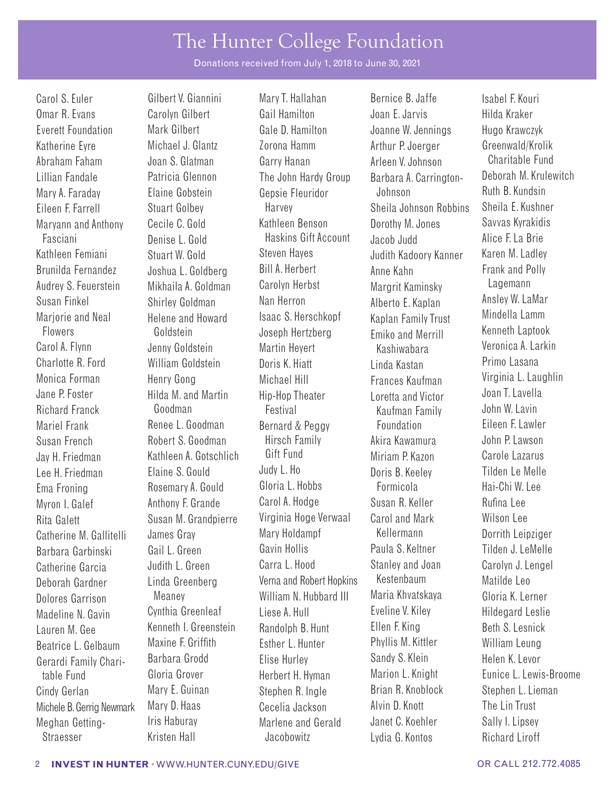Donations received from July 1, 2018 to June 30, 2021

Brunilda Fernandez Audrey S. Feuerstein Susan Finkel Mariorie and Neal Flowers

Joshua L. Goldberg Mikhaila A. Goldman Shirley Goldman Helene and Howard Goldstein

Carol S. Euler **Gilbert V. Giannini** Mary T. Hallahan Bernice B. Jaffe Isabel F. Kouri Omar R. Evans Carolyn Gilbert Gail Hamilton Joan E. Jarvis Hilda Kraker Everett Foundation Mark Gilbert Gale D. Hamilton Joanne W. Jennings Hugo Krawczyk Katherine Eyre Michael J. Glantz Zorona Hamm Arthur P. Joerger Greenwald/Krolik Abraham Faham Joan S. Glatman Garry Hanan Arleen V. Johnson Charitable Fund Lillian Fandale Patricia Glennon The John Hardy Group Barbara A. Carrington- Deborah M. Krulewitch Mary A. Faraday Elaine Gobstein Gepsie Fleuridor Johnson Ruth B. Kundsin Eileen F. Farrell Stuart Golbey Harvey Sheila Johnson Robbins Maryann and Anthony Cecile C. Gold Kathleen Benson Dorothy M. Jones Savvas Kyrakidis Fasciani Denise L. Gold Haskins Gift Account Jacob Judd Alice F. La Brie Kathleen Femiani Stuart W. Gold Steven Hayes Judith Kadoory Kanner Karen M. Ladley Bill A. Herbert Carolyn Herbst Nan Herron Isaac S. Herschkopf Joseph Hertzberg Carol A. Flynn Jenny Goldstein Martin Heyert Kashiwabara Veronica A. Larkin Charlotte R. Ford William Goldstein Doris K. Hiatt Linda Kastan Primo Lasana Monica Forman Henry Gong Michael Hill Frances Kaufman Virginia L. Laughlin Jane P. Foster Hilda M. and Martin Hip-Hop Theater Loretta and Victor Joan T. Lavella Richard Franck Goodman Festival Kaufman Family John W. Lavin Mariel Frank **Renee L. Goodman** Bernard & Peggy Foundation Eileen F. Lawler Susan French Robert S. Goodman Hirsch Family Akira Kawamura John P. Lawson Jay H. Friedman Kathleen A. Gotschlich Gift Fund Miriam P. Kazon Carole Lazarus Lee H. Friedman Elaine S. Gould Judy L. Ho Doris B. Keeley Tilden Le Melle Ema Froning **Rosemary A. Gould** Gloria L. Hobbs **Formicola** Myron I. Galef **Anthony F. Grande** Carol A. Hodge Susan R. Keller Rufina Lee Rita Galett Susan M. Grandpierre Virginia Hoge Verwaal Carol and Mark Wilson Lee Catherine M. Gallitelli James Gray Mary Holdampf Kellermann Dorrith Leipziger Barbara Garbinski Gail L. Green Gavin Hollis Paula S. Keltner Tilden J. LeMelle Catherine Garcia Judith L. Green Carra L. Hood Stanley and Joan Carolyn J. Lengel Deborah Gardner Linda Greenberg Verna and Robert Hopkins Kestenbaum Matilde Leo Dolores Garrison Meaney William N. Hubbard III Maria Khvatskaya Gloria K. Lerner Madeline N. Gavin Cynthia Greenleaf Liese A. Hull Eveline V. Kiley Hildegard Leslie Lauren M. Gee Kenneth I. Greenstein Randolph B. Hunt Ellen F. King Beth S. Lesnick Beatrice L. Gelbaum Maxine F. Griffth Esther L. Hunter Phyllis M. Kittler William Leung Gerardi Family Chari- Barbara Grodd Elise Hurley Sandy S. Klein Helen K. Levor Cindy Gerlan Mary E. Guinan Stephen R. Ingle Brian R. Knoblock Stephen L. Lieman Michele B. Gerrig Newmark Mary D. Haas Cecelia Jackson Alvin D. Knott The Lin Trust Meghan Getting- Iris Haburay Marlene and Gerald Janet C. Koehler Sally I. Lipsey

Anne Kahn Margrit Kaminsky Alberto E. Kaplan Kaplan Family Trust Emiko and Merrill Straesser Kristen Hall Jacobowitz Lydia G. Kontos Richard Liroff

Frank and Polly Lagemann Ansley W. LaMar Mindella Lamm Kenneth Laptook table Fund Gloria Grover Fundert H. Hyman Marion L. Knight Eunice L. Lewis-Broome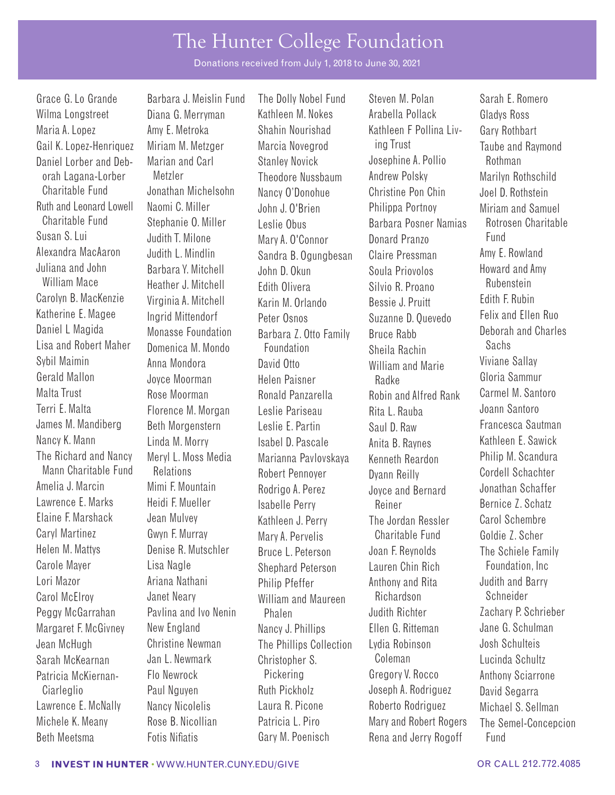Donations received from July 1, 2018 to June 30, 2021

Wilma Longstreet Diana G. Merryman Kathleen M. Nokes Arabella Pollack Gladys Ross Maria A. Lopez **Amy E. Metroka** Shahin Nourishad Kathleen F Pollina Liv- Gary Rothbart Gail K. Lopez-Henriquez Miriam M. Metzger Marcia Novegrod ing Trust Taube and Raymond Daniel Lorber and Deb- Marian and Carl Stanley Novick Josephine A. Pollio Rothman Ruth and Leonard Lowell Naomi C. Miller John J. O'Brien Philippa Portnoy Miriam and Samuel<br>Charitable Fund Stephanie O. Miller Joslie Obus Rarbara Posper Namias Retrosen Charitable Susan S. Lui Alexandra MacAaron Juliana and John Carolyn B. MacKenzie Virginia A. Mitchell Karin M. Orlando Bessie J. Pruitt Katherine E. Magee Daniel L Magida Lisa and Robert Maher Malta Trust Rose Moorman Ronald Panzarella Robin and Alfred Rank Carmel M. Santoro James M. Mandiberg Beth Morgenstern Leslie E. Partin Saul D. Raw Francesca Sautman<br>Nancy K. Mann I inda M. Morry Isabel D. Pascale Anita B. Baynes Kathleen E. Sawick The Richard and Nancy Mann Charitable Fund Amelia J. Marcin Lawrence E. Marks Elaine F. Marshack Jean Mulvey Kathleen J. Perry The Jordan Ressler Carol Schembre Helen M. Mattys Denise R. Mutschler Bruce L. Peterson Joan F. Reynolds The Schiele Family Carole Mayer Lisa Nagle Shephard Peterson Lauren Chin Rich Foundation, Inc Carol McElroy Janet Neary William and Maureen Richardson Schneider Peggy McGarrahan Pavlina and Ivo Nenin Phalen Designed Judith Richter Zachary P. Schrieber Margaret F. McGivney New England Nancy J. Phillips Ellen G. Ritteman Jane G. Schulman Jean McHugh Christine Newman The Phillips Collection Lydia Robinson Josh Schulteis Sarah McKearnan Jan L. Newmark Christopher S. Coleman Lucinda Schultz Patricia McKiernan- Flo Newrock Pickering Gregory V. Rocco Anthony Sciarrone Lawrence E. McNally Nancy Nicolelis Laura R. Picone Roberto Rodriguez Michael S. Sellman Michele K. Meany Rose B. Nicollian Patricia L. Piro Mary and Robert Rogers The Semel-Concepcion

Judith T. Milone Judith L. Mindlin Barbara Y. Mitchell Ingrid Mittendorf Monasse Foundation Domenica M. Mondo Meryl L. Moss Media Relations Mimi F. Mountain Heidi F. Mueller

Grace G. Lo Grande Barbara J. Meislin Fund The Dolly Nobel Fund Steven M. Polan Sarah E. Romero orah Lagana-Lorber Metzler Theodore Nussbaum Andrew Polsky Marilyn Rothschild Charitable Fund Jonathan Michelsohn Nancy O'Donohue Christine Pon Chin Joel D. Rothstein<br>Christine Pon Del D. Rothstein John J. O'Brien Philinna Portnov Miriam and Samu Stephanie O. Miller Leslie Obus Barbara Posner Namias Rotrosen Charitable Mary A. O'Connor Sandra B. Ogungbesan John D. Okun William Mace Heather J. Mitchell Edith Olivera Silvio R. Proano Rubenstein Peter Osnos Barbara Z. Otto Family Foundation Sybil Maimin Anna Mondora David Otto William and Marie Viviane Sallay Gerald Mallon Joyce Moorman Helen Paisner Radke Gloria Sammur Florence M. Morgan Leslie Pariseau Rita L. Rauba Linda M. Morry **Isabel D. Pascale** Anita B. Raynes Marianna Pavlovskaya Robert Pennoyer Rodrigo A. Perez Isabelle Perry Caryl Martinez Gwyn F. Murray Mary A. Pervelis Charitable Fund Goldie Z. Scher Lori Mazor Ariana Nathani Philip Pfeffer Anthony and Rita Judith and Barry Ciarleglio Paul Nguyen Ruth Pickholz Joseph A. Rodriguez David Segarra

Donard Pranzo Claire Pressman Soula Priovolos Suzanne D. Quevedo Bruce Rabb Sheila Rachin Kenneth Reardon Dyann Reilly Joyce and Bernard Reiner Beth Meetsma Fotis Nifatis Gary M. Poenisch Rena and Jerry Rogoff Fund

Fund Amy E. Rowland Howard and Amy Felix and Ellen Ruo Deborah and Charles Sachs Philip M. Scandura Cordell Schachter Jonathan Schaffer Bernice Z. Schatz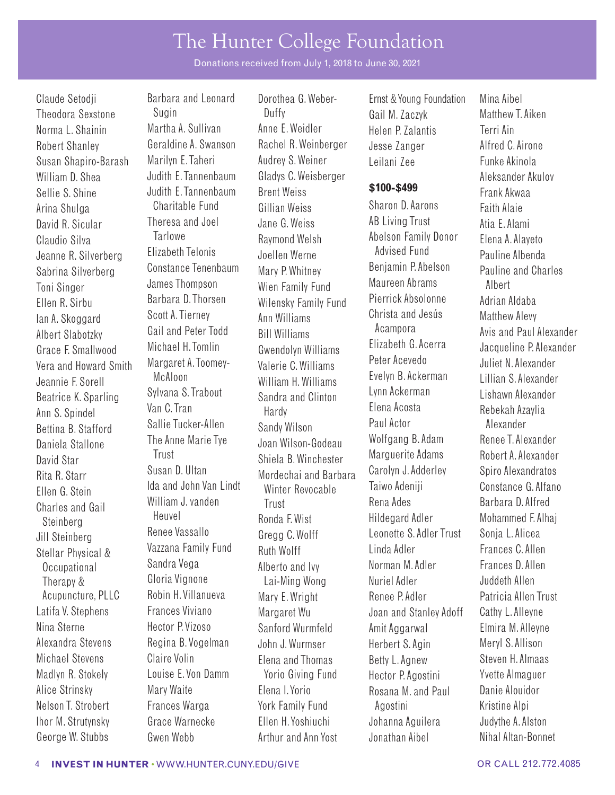Donations received from July 1, 2018 to June 30, 2021

William D. Shea Sellie S. Shine Arina Shulga David R. Sicular Claudio Silva Jeanne R. Silverberg Sabrina Silverberg Toni Singer Ellen R. Sirbu Ian A. Skoggard Albert Slabotzky Grace F. Smallwood Vera and Howard Smith Beatrice K. Sparling Ann S. Spindel Bettina B. Stafford Daniela Stallone Charles and Gail Steinberg Jill Steinberg Stellar Physical & Occupational Therapy &

Claude Setodji Barbara and Leonard Dorothea G. Weber- Ernst & Young Foundation Mina Aibel Theodora Sexstone Sugin Duffy Gail M. Zaczyk Matthew T.Aiken Norma L. Shainin Martha A. Sullivan Anne E. Weidler Helen P. Zalantis Terri Ain<br>Robert Shanley Geraldine A. Swanson Rachel R. Weinberger Jesse Zanger Alfred C Robert Shanley Geraldine A. Swanson Rachel R. Weinberger Jesse Zanger Alfred C. Airone Susan Shapiro-Barash Marilyn E. Taheri Audrey S. Weiner Leilani Zee Funke Akinola Judith E. Tannenbaum Judith E. Tannenbaum Charitable Fund Theresa and Joel **Tarlowe** Elizabeth Telonis Constance Tenenbaum James Thompson Barbara D. Thorsen Scott A. Tierney Gail and Peter Todd Michael H. Tomlin Margaret A. Toomey-Jeannie F. Sorell McAloon William H. Williams Evelyn B. Ackerman Lillian S. Alexander Sylvana S. Trabout Van C. Tran Sallie Tucker-Allen The Anne Marie Tye David Star Trust Shiela B. Winchester Marguerite Adams Robert A. Alexander Rita R. Starr Susan D. Ultan Mordechai and Barbara Carolyn J. Adderley Spiro Alexandratos Ellen G. Stein Ida and John Van Lindt Winter Revocable Taiwo Adeniji Constance G. Alfano William J. vanden Heuvel Renee Vassallo Vazzana Family Fund Sandra Vega Gloria Vignone Acupuncture, PLLC Robin H. Villanueva Mary E. Wright Renee P. Adler Patricia Allen Trust Latifa V. Stephens Frances Viviano Margaret Wu Joan and Stanley Adoff Cathy L. Alleyne Nina Sterne Hector P. Vizoso Sanford Wurmfeld Amit Aggarwal Elmira M. Alleyne Alexandra Stevens Regina B. Vogelman John J. Wurmser Herbert S. Agin Meryl S. Allison Michael Stevens Claire Volin Elena and Thomas Betty L. Agnew Steven H. Almaas Madlyn R. Stokely Louise E. Von Damm Yorio Giving Fund Hector P. Agostini Yvette Almaguer Alice Strinsky Mary Waite **Elena I. Yorio** Rosana M. and Paul Danie Alouidor Nelson T. Strobert Frances Warga York Family Fund Agostini Kristine Alpi Ihor M. Strutynsky Grace Warnecke Ellen H. Yoshiuchi Johanna Aguilera Judythe A. Alston

Gladys C. Weisberger Brent Weiss **\$100-\$499** Gillian Weiss Jane G. Weiss Raymond Welsh Joellen Werne Mary P. Whitney Wien Family Fund Wilensky Family Fund Ann Williams Bill Williams Gwendolyn Williams Valerie C. Williams Sandra and Clinton Hardy Sandy Wilson Joan Wilson-Godeau Trust Ronda F. Wist Gregg C. Wolff Ruth Wolff Alberto and Ivy Lai-Ming Wong

Sharon D. Aarons AB Living Trust Abelson Family Donor Advised Fund Benjamin P. Abelson Maureen Abrams Pierrick Absolonne Christa and Jesús Acampora Elizabeth G. Acerra Peter Acevedo Lynn Ackerman Elena Acosta Paul Actor Wolfgang B. Adam Rena Ades Hildegard Adler Leonette S.Adler Trust Linda Adler Norman M. Adler Nuriel Adler George W. Stubbs Gwen Webb **Arthur and Ann Yost** Jonathan Aibel Nihal Altan-Bonnet

Aleksander Akulov Frank Akwaa Faith Alaie Atia E. Alami Elena A. Alayeto Pauline Albenda Pauline and Charles Albert Adrian Aldaba Matthew Alevy Avis and Paul Alexander Jacqueline P. Alexander Juliet N. Alexander Lishawn Alexander Rebekah Azaylia Alexander Renee T.Alexander Barbara D. Alfred Mohammed F. Alhaj Sonja L. Alicea Frances C. Allen Frances D. Allen Juddeth Allen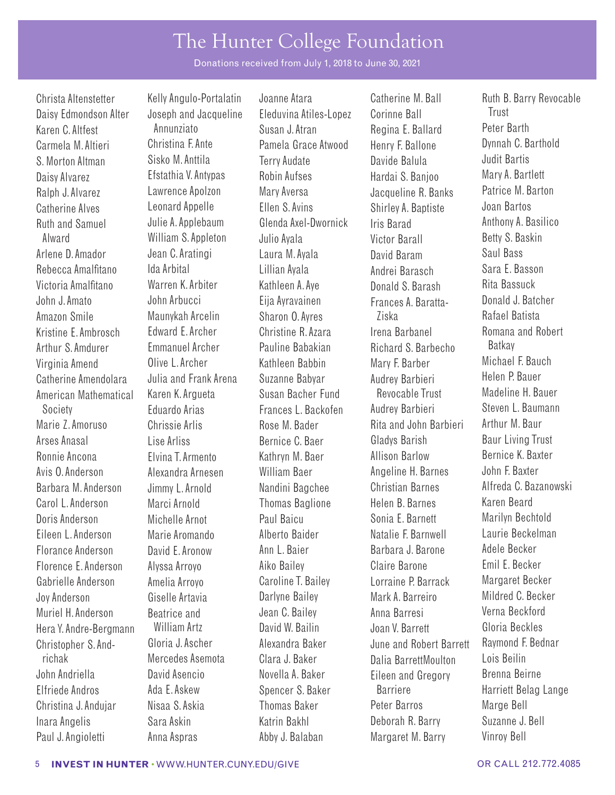Donations received from July 1, 2018 to June 30, 2021

Ralph J. Alvarez Lawrence Apolzon Mary Aversa Jacqueline R. Banks Amazon Smile **Maunykah Arcelin** Sharon O. Ayres Ziska Society **Eduardo Arias** Frances L. Backofen Audrey Barbieri richak Mercedes Asemota Clara J. Baker Dalia BarrettMoulton

Christa Altenstetter Kelly Angulo-Portalatin Joanne Atara Catherine M. Ball Ruth B. Barry Revocable Daisy Edmondson Alter Joseph and Jacqueline Eleduvina Atiles-Lopez Corinne Ball Frust Karen C. Altfest Annunziato Annunziato Susan J. Atran Regina E. Ballard Peter Barth Carmela M. Altieri Christina F. Ante Pamela Grace Atwood Henry F. Ballone Dynnah C. Barthold S. Morton Altman Sisko M. Anttila Terry Audate Davide Balula Judit Bartis Daisy Alvarez Efstathia V. Antypas Robin Aufses Hardai S. Banjoo Mary A. Bartlett Catherine Alves Leonard Appelle Ellen S. Avins Shirley A. Baptiste Joan Bartos Ruth and Samuel Julie A. Applebaum Glenda Axel-Dwornick Iris Barad Anthony A. Basilico Alward William S. Appleton Julio Ayala Victor Barall Betty S. Baskin Arlene D. Amador Jean C. Aratingi Laura M. Ayala David Baram Saul Bass Rebecca Amalfitano Ida Arbital Lillian Ayala Andrei Barasch Sara E. Basson Victoria Amalftano Warren K. Arbiter Kathleen A. Aye Donald S. Barash Rita Bassuck John J. Amato John Arbucci Eija Ayravainen Frances A. Baratta- Donald J. Batcher Kristine F. Ambrosch Edward E. Archer Christine R. Azara Irena Barbanel Romana and Robert Arthur S. Amdurer Emmanuel Archer Pauline Babakian Richard S. Barbecho Batkay<br>Virginia Amend Olive L. Archer – Kathleen Babbin – Mary E. Barber – Michael E. Bauch Virginia Amend Olive L. Archer Kathleen Babbin Mary F. Barber Michael F. Bauch Catherine Amendolara Julia and Frank Arena Suzanne Babyar Audrey Barbieri Helen P. Bauer<br>American Mathematical Karen K. Arqueta Susan Bacher Fund Revocable Trust Madeline H. Bauer American Mathematical Karen K. Argueta Susan Bacher Fund Revocable Trust Madeline H. Bauer<br>Society – Eduardo Arias – Frances L. Backofen – Audrey Barbieri – Steven L. Baumann Marie Z. Amoruso Chrissie Arlis Rose M. Bader Rita and John Barbieri Arthur M. Baur Arses Anasal Lise Arliss Bernice C. Baer Gladys Barish Baur Living Trust Ronnie Ancona Elvina T. Armento Kathryn M. Baer Allison Barlow Bernice K. Baxter Avis O. Anderson Alexandra Arnesen William Baer Angeline H. Barnes John F. Baxter Barbara M. Anderson Jimmy L. Arnold Nandini Bagchee Christian Barnes Alfreda C. Bazanowski Carol L. Anderson Marci Arnold Thomas Baglione Helen B. Barnes Karen Beard Doris Anderson Michelle Arnot Paul Baicu Sonia E. Barnett Marilyn Bechtold Eileen L. Anderson Marie Aromando Alberto Baider Natalie F. Barnwell Laurie Beckelman Florance Anderson David E. Aronow Ann L. Baier Barbara J. Barone Adele Becker Florence E. Anderson Alyssa Arroyo Aiko Bailey Claire Barone Emil E. Becker Gabrielle Anderson Amelia Arroyo Caroline T. Bailey Lorraine P. Barrack Margaret Becker Joy Anderson Giselle Artavia Darlyne Bailey Mark A. Barreiro Mildred C. Becker Muriel H. Anderson Beatrice and Jean C. Bailey Anna Barresi Verna Beckford Hera Y.Andre-Bergmann William Artz David W. Bailin Joan V. Barrett Gloria Beckles Christopher S. And- Gloria J. Ascher Alexandra Baker June and Robert Barrett Raymond F.<br>Tichak Mercedes Asemota Clara J. Baker Dalia Barrett Moulton Lois Beilin John Andriella David Asencio Novella A. Baker Eileen and Gregory Brenna Beirne Elfriede Andros Ada E. Askew Spencer S. Baker Barriere Barriere Harriett Belag Lange Christina J. Anduiar Misaa S. Askia Thomas Baker Peter Barros Marge Bell Inara Angelis Sara Askin Katrin Bakhl Deborah R. Barry Suzanne J. Bell Paul J. Angioletti Anna Aspras Abby J. Balaban Margaret M. Barry Vinroy Bell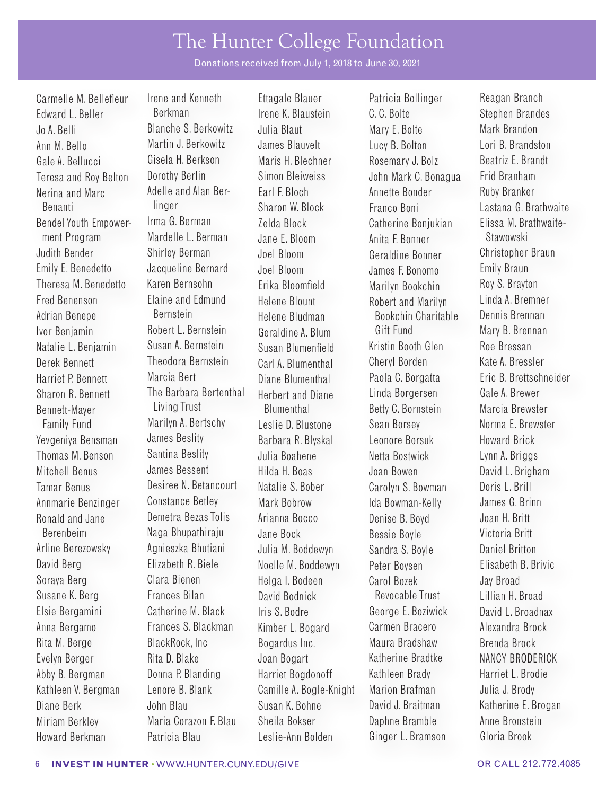Donations received from July 1, 2018 to June 30, 2021

Fred Benenson Adrian Benepe

Carmelle M. Bellefleur Irene and Kenneth Ettagale Blauer Patricia Bollinger Reagan Branch Edward L. Beller **Berkman** Berkman Irene K. Blaustein C. C. Bolte Stephen Brandes Jo A. Belli Blanche S. Berkowitz Julia Blaut Mary E. Bolte Mark Brandon Ann M. Bello Martin J. Berkowitz James Blauvelt Lucy B. Bolton Lori B. Brandston Gale A. Bellucci Gisela H. Berkson Maris H. Blechner Rosemary J. Bolz Beatriz E. Brandt Teresa and Roy Belton Dorothy Berlin Simon Bleiweiss John Mark C. Bonagua Frid Branham Nerina and Marc Adelle and Alan Ber- Earl F. Bloch Annette Bonder Ruby Branker<br>Renanti Alastana G. Rr. (Inder Annette Bonder France Bonjalastana G. Rr. Benanti linger Sharon W. Block Franco Boni Lastana G. Brathwaite Bendel Youth Empower- Irma G. Berman Zelda Block Catherine Bonjukian Elissa M. Brathwaitement Program Mardelle L. Berman Jane E. Bloom Anita F. Bonner Stawowski Judith Bender Shirley Berman Joel Bloom Geraldine Bonner Christopher Braun Emily E. Benedetto Jacqueline Bernard Joel Bloom James F. Bonomo Emily Braun Theresa M. Benedetto Karen Bernsohn Erika Bloomfield Marilyn Bookchin Roy S. Brayton Elaine and Edmund Bernstein Ivor Benjamin Robert L. Bernstein Geraldine A. Blum Gift Fund Mary B. Brennan Natalie L. Benjamin Susan A. Bernstein Susan Blumenfield Kristin Booth Glen Roe Bressan<br>Derek Bennett – Theodora Bernstein Carl A. Blumenthal – Cheryl Borden – Kate A. Bress Derek Bennett Theodora Bernstein Carl A. Blumenthal Cheryl Borden Kate A. Bressler Harriet P. Bennett Marcia Bert Diane Blumenthal Paola C. Borgatta Eric B. Brettschneider Sharon R. Bennett The Barbara Bertenthal Herbert and Diane Linda Borgersen Gale A. Brewer Bennett-Mayer Living Trust Blumenthal Betty C. Bornstein Marcia Brewster Family Fund Marilyn A. Bertschy Leslie D. Blustone Sean Borsey Norma E. Brewster Yevgeniya Bensman James Beslity Barbara R. Blyskal Leonore Borsuk Howard Brick Thomas M. Benson Santina Beslity Julia Boahene Netta Bostwick Lynn A. Briggs Mitchell Benus James Bessent Hilda H. Boas Joan Bowen David L. Brigham Tamar Benus Desiree N. Betancourt Natalie S. Bober Carolyn S. Bowman Doris L. Brill Annmarie Benzinger Constance Betley Mark Bobrow Ida Bowman-Kelly James G. Brinn Ronald and Jane Demetra Bezas Tolis Arianna Bocco Denise B. Boyd Joan H. Britt Berenbeim Naga Bhupathiraju Jane Bock Bessie Boyle Victoria Britt Arline Berezowsky and Agnieszka Bhutiani Julia M. Boddewyn Sandra S. Boyle Daniel Britton David Berg **Elizabeth R. Biele** Noelle M. Boddewyn Peter Boysen Elisabeth B. Brivic Soraya Berg Clara Bienen Helga I. Bodeen Carol Bozek Jay Broad Susane K. Berg Frances Bilan David Bodnick Revocable Trust Lillian H. Broad Elsie Bergamini Catherine M. Black Iris S. Bodre George E. Boziwick David L. Broadnax Anna Bergamo Frances S. Blackman Kimber L. Bogard Carmen Bracero Alexandra Brock Rita M. Berge BlackRock, Inc Bogardus Inc. Maura Bradshaw Brenda Brock Evelyn Berger **Rita D. Blake** Joan Bogart Katherine Bradtke NANCY BRODERICK Abby B. Bergman **Donna P. Blanding Harriet Bogdonoff** Kathleen Brady Harriet L. Brodie Kathleen V. Bergman Lenore B. Blank Camille A. Bogle-Knight Marion Brafman Julia J. Brody Diane Berk John Blau Susan K. Bohne David J. Braitman Katherine E. Brogan Miriam Berkley Maria Corazon F. Blau Sheila Bokser Daphne Bramble Anne Bronstein

Helene Blount Helene Bludman

Robert and Marilyn Bookchin Charitable Howard Berkman Patricia Blau Leslie-Ann Bolden Ginger L. Bramson Gloria Brook

Linda A. Bremner Dennis Brennan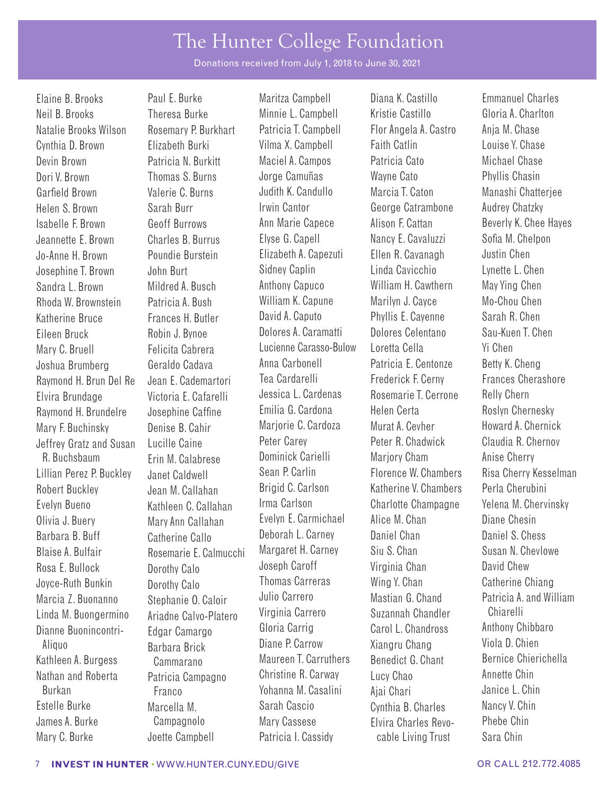Donations received from July 1, 2018 to June 30, 2021

Neil B. Brooks Theresa Burke Minnie L. Campbell Kristie Castillo Gloria A. Charlton Natalie Brooks Wilson Rosemary P. Burkhart Patricia T. Campbell Flor Angela A. Castro Anja M. Chase Cynthia D. Brown Elizabeth Burki Vilma X. Campbell Faith Catlin Louise Y. Chase Devin Brown Patricia N. Burkitt Maciel A. Campos Patricia Cato Michael Chase Dori V. Brown Thomas S. Burns Jorge Camuñas Wayne Cato Phyllis Chasin Garfield Brown Valerie C. Burns Judith K. Candullo Marcia T. Caton Manashi Chatterjee Helen S. Brown Sarah Burr Irwin Cantor George Catrambone Audrey Chatzky Isabelle F. Brown Geoff Burrows Ann Marie Capece Alison F. Cattan Beverly K. Chee Hayes Jeannette E. Brown Charles B. Burrus Elyse G. Capell Nancy E. Cavaluzzi Sofa M. Chelpon Jo-Anne H. Brown Poundie Burstein Elizabeth A. Capezuti Ellen R. Cavanagh Justin Chen Josephine T. Brown John Burt Sidney Caplin Linda Cavicchio Lynette L. Chen Sandra L. Brown Mildred A. Busch Anthony Capuco William H. Cawthern May Ying Chen Rhoda W. Brownstein Patricia A. Bush William K. Capune Marilyn J. Cayce Mo-Chou Chen Katherine Bruce Frances H. Butler David A. Caputo Phyllis E. Cayenne Sarah R. Chen Eileen Bruck Robin J. Bynoe Dolores A. Caramatti Dolores Celentano Sau-Kuen T. Chen Mary C. Bruell Felicita Cabrera Lucienne Carasso-Bulow Loretta Cella Yi Chen Joshua Brumberg Geraldo Cadava Anna Carbonell Patricia E. Centonze Betty K. Cheng Raymond H. Brun Del Re Jean E. Cademartori Tea Cardarelli Frederick F. Cerny Frances Cherashore Elvira Brundage Victoria E. Cafarelli Jessica L. Cardenas Rosemarie T. Cerrone Relly Chern Raymond H. Brundelre Josephine Caffine Emilia G. Cardona Helen Certa Roslyn Chernesky Mary F. Buchinsky Denise B. Cahir Marjorie C. Cardoza Murat A. Cevher Howard A. Chernick Jeffrey Gratz and Susan Lucille Caine Peter Carey Peter R. Chadwick Claudia R. Chernov<br>R. Buchshaum Frin M. Calabrese Dominick Carielli Mariory Cham Anise Cherry Lillian Perez P. Buckley Janet Caldwell Sean P. Carlin Florence W. Chambers Risa Cherry Kesselman<br>Robert Buckley Jean M. Callaban Brigid C. Carlson Katherine V. Chambers Perla Cherubini Robert Buckley Jean M. Callahan Brigid C. Carlson Katherine V. Chambers Perla Cherubini Evelyn Bueno Kathleen C. Callahan Irma Carlson Charlotte Champagne Yelena M. Chervinsky Olivia J. Buery Mary Ann Callahan Evelyn E. Carmichael Alice M. Chan Diane Chesin Barbara B. Buff Catherine Callo Deborah L. Carney Daniel Chan Daniel S. Chess Blaise A. Bulfair **Rosemarie E. Calmucchi** Margaret H. Carney Siu S. Chan Susan N. Chevlowe Rosa E. Bullock Joyce-Ruth Bunkin Marcia Z. Buonanno Linda M. Buongermino Dianne Buonincontri-Aliquo Kathleen A. Burgess Cammarano Maureen T. Carruthers Benedict G. Chant Bernice Chierichella<br>Nathan and Roberta Petricia Campagne Christine R. Carway Lucy Chao Annette Chin Nathan and Roberta Patricia Campagno Christine R. Carway Lucy Chao Annette Chin Estelle Burke **Marcella M.** Sarah Cascio Cynthia B. Charles Nancy V. Chin James A. Burke Campagnolo Mary Cassese Elvira Charles Revo- Phebe Chin

Marcella M. R. Buchsbaum Erin M. Calabrese Dominick Carielli Marjory Cham Anise Cherry<br>Anise Cherry Lanet Caldwell (Sean P. Carlin ) Florence W. Chambers Risa Cherry K Dorothy Calo Dorothy Calo Stephanie O. Caloir Ariadne Calvo-Platero Edgar Camargo Barbara Brick

Elaine B. Brooks Paul E. Burke Maritza Campbell Diana K. Castillo Emmanuel Charles Joseph Caroff Thomas Carreras Julio Carrero Virginia Carrero Gloria Carrig Diane P. Carrow Franco **Yohanna M. Casalini** Ajai Chari

Virginia Chan Wing Y. Chan Mastian G. Chand Suzannah Chandler Carol L. Chandross Xiangru Chang Mary C. Burke **Joette Campbell** Patricia I. Cassidy cable Living Trust Sara Chin

David Chew Catherine Chiang Patricia A. and William Chiarelli Anthony Chibbaro Viola D. Chien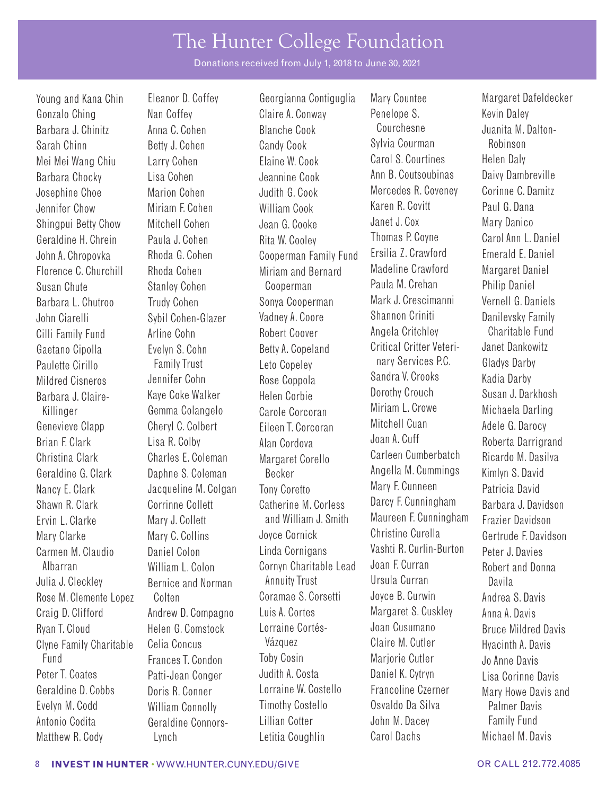Donations received from July 1, 2018 to June 30, 2021

Gaetano Cipolla Paulette Cirillo Mildred Cisneros Barbara J. Claire-Christina Clark Geraldine G. Clark Evelyn S. Cohn Family Trust Jennifer Cohn Kaye Coke Walker Charles E. Coleman Daphne S. Coleman

Young and Kana Chin Eleanor D. Coffey Georgianna Contiguglia Mary Countee Margaret Dafeldecker Gonzalo Ching **Nan Coffey Claire A. Conway** Penelope S. Kevin Daley Barbara J. Chinitz Anna C. Cohen Blanche Cook Courchesne Uuanita M. Dalton-Sarah Chinn Betty J. Cohen Candy Cook Sylvia Courman Robinson Mei Mei Wang Chiu Larry Cohen Elaine W. Cook Carol S. Courtines Helen Daly Barbara Chocky Lisa Cohen Jeannine Cook Ann B. Coutsoubinas Daivy Dambreville Josephine Choe Marion Cohen Judith G. Cook Mercedes R. Coveney Corinne C. Damitar Chow Miriam E Cohen William Cook Karen R. Covitt Paul G. Dana Jennifer Chow Miriam F. Cohen William Cook Karen R. Covitt Paul G. Dana Shingpui Betty Chow Mitchell Cohen Jean G. Cooke Janet J. Cox Mary Danico Geraldine H. Chrein Paula J. Cohen Rita W. Cooley Thomas P. Coyne Carol Ann L. Daniel John A. Chropovka Rhoda G. Cohen Cooperman Family Fund Ersilia Z. Crawford Emerald E. Daniel Florence C. Churchill Rhoda Cohen Miriam and Bernard Madeline Crawford Margaret Daniel<br>Sugan Chuto Stanlow Ceben Cooperman Paula M. Creban Philip Daniel Susan Chute Stanley Cohen Cooperman Paula M. Crehan Philip Daniel Barbara L. Chutroo Trudy Cohen Sonya Cooperman Mark J. Crescimanni Vernell G. Daniels John Ciarelli Sybil Cohen-Glazer Vadney A. Coore Shannon Criniti Danilevsky Family Cilli Family Fund Arline Cohn Robert Coover Angela Critchley Charitable Fund Betty A. Copeland Leto Copeley Rose Coppola Helen Corbie Killinger Gemma Colangelo Carole Corcoran Miriam L. Crowe Michaela Darling Genevieve Clapp Cheryl C. Colbert Eileen T. Corcoran Mitchell Cuan Adele G. Darocy Brian F. Clark Lisa R. Colby Alan Cordova Joan A. Cuff Roberta Darrigrand Margaret Corello Becker Nancy E. Clark Jacqueline M. Colgan Tony Coretto Mary F. Cunneen Patricia David<br>Shawn R. Clark Corrinne Collett Catherine M. Corless Darcy F. Cunningham Barbara J. Dav Shawn R. Clark Corrinne Collett Catherine M. Corless Darcy F. Cunningham Barbara J. Davidson Ervin L. Clarke Mary J. Collett and William J. Smith Maureen F. Cunningham Frazier Davidson Mary Clarke Mary C. Collins Joyce Cornick Christine Curella Gertrude F. Davidson Carmen M. Claudio Daniel Colon Linda Cornigans Vashti R. Curlin-Burton Peter J. Davies<br>Albarran William L. Colon Cornyn Charitable Lead Joan F. Curran Robert and Dor Albarran William L. Colon Cornyn Charitable Lead Joan F. Curran Robert and Donna Julia J. Cleckley Bernice and Norman Annuity Trust Ursula Curran Davila Rose M. Clemente Lopez Colten Coramae S. Corsetti Joyce B. Curwin Andrea S. Davis Craig D. Clifford Andrew D. Compagno Luis A. Cortes Margaret S. Cuskley Anna A. Davis Ryan T. Cloud **Helen G. Comstock** Lorraine Cortés- Joan Cusumano Bruce Mildred Davis Clyne Family Charitable Celia Concus Vázquez Vázquez Claire M. Cutler Hyacinth A. Davis Fund Frances T. Condon Toby Cosin Marjorie Cutler Jo Anne Davis Peter T. Coates Patti-Jean Conger Judith A. Costa Daniel K. Cytryn Lisa Corinne Davis Geraldine D. Cobbs Doris R. Conner Lorraine W. Costello Francoline Czerner Mary Howe Davis and Evelyn M. Codd William Connolly Timothy Costello Osvaldo Da Silva Palmer Davis Antonio Codita **Geraldine Connors-** Lillian Cotter **Guidean** John M. Dacey Family Fund

Critical Critter Veterinary Services P.C. Sandra V. Crooks Dorothy Crouch Carleen Cumberbatch Angella M. Cummings Matthew R. Cody Lynch Lynch Letitia Coughlin Carol Dachs Michael M. Davis

Janet Dankowitz Gladys Darby Kadia Darby Susan J. Darkhosh Ricardo M. Dasilva Kimlyn S. David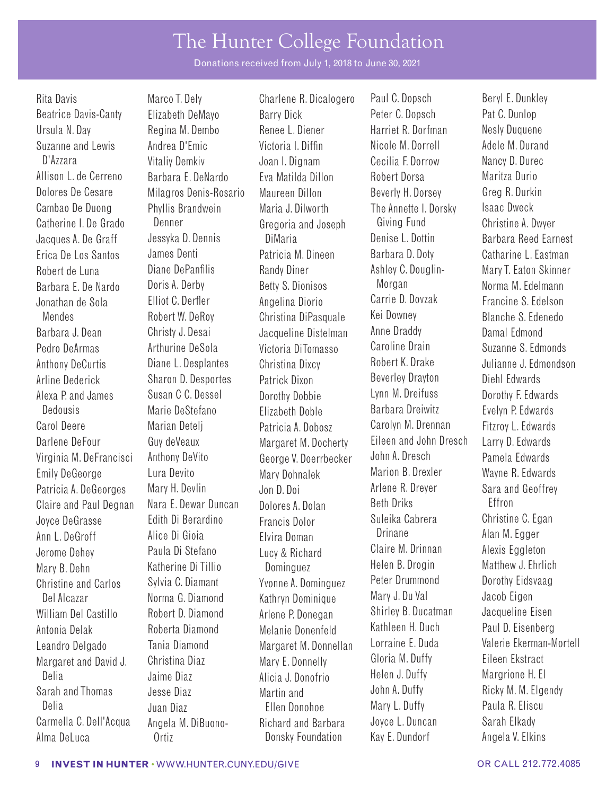Donations received from July 1, 2018 to June 30, 2021

Claire and Paul Degnan Nara E. Dewar Duncan Dolores A. Dolan Del Alcazar **Norma G. Diamond** Kathryn Dominique Antonia Delak Roberta Diamond Melanie Donenfeld

Rita Davis **Marco T. Dely** Charlene R. Dicalogero Paul C. Dopsch Beryl E. Dunkley Beatrice Davis-Canty Elizabeth DeMayo Barry Dick Peter C. Dopsch Pat C. Dunlop Ursula N. Day Regina M. Dembo Renee L. Diener Harriet R. Dorfman Nesly Duquene Suzanne and Lewis Andrea D'Emic Victoria I. Diffin Nicole M. Dorrell Adele M. Durand D'Azzara Vitaliy Demkiv Joan I. Dignam Cecilia F. Dorrow Nancy D. Durec Allison L. de Cerreno Barbara E. DeNardo Eva Matilda Dillon Robert Dorsa Maritza Durio Dolores De Cesare Milagros Denis-Rosario Maureen Dillon Beverly H. Dorsey Greg R. Durkin Cambao De Duong Phyllis Brandwein Maria J. Dilworth The Annette I. Dorsky Isaac Dweck Catherine I. De Grado Denner Gregoria and Joseph Giving Fund Christine A. Dwyer Jacques A. De Graff Jessyka D. Dennis DiMaria Denise L. Dottin Barbara Reed Earnest Erica De Los Santos James Denti Patricia M. Dineen Barbara D. Doty Catharine L. Eastman Robert de Luna **Diane DePanfilis** Randy Diner Ashley C. Douglin- Mary T. Eaton Skinner Barbara E. De Nardo Doris A. Derby Betty S. Dionisos Morgan Norma M. Edelmann<br>Jonathan de Sola — Elliot C. Derfler — Angelina Diorio — Carrie D. Dovzak — Francine S. Edelson Jonathan de Sola Elliot C. Derfer Angelina Diorio Carrie D. Dovzak Francine S. Edelson Mendes Robert W. DeRoy Christina DiPasquale Kei Downey Blanche S. Edenedo Barbara J. Dean Christy J. Desai Jacqueline Distelman Anne Draddy Damal Edmond Pedro DeArmas **Arthurine DeSola** Victoria DiTomasso Caroline Drain Suzanne S. Edmonds Anthony DeCurtis Diane L. Desplantes Christina Dixcy Robert K. Drake Julianne J. Edmondson Arline Dederick Sharon D. Desportes Patrick Dixon Beverley Drayton Diehl Edwards Alexa P. and James Susan C C. Dessel Dorothy Dobbie Lynn M. Dreifuss Dorothy F. Edwards<br>Dedousis Marie DeStefano Flizabeth Doble Barbara Dreiwitz Fyelvn P. Edwards Dedousis Marie DeStefano Elizabeth Doble Barbara Dreiwitz Evelyn P. Edwards Carol Deere Marian Detelj Patricia A. Dobosz Carolyn M. Drennan Fitzroy L. Edwards Darlene DeFour Guy deVeaux Margaret M. Docherty Eileen and John Dresch Larry D. Edwards<br>Virginia M. DeFrancisci Anthony DeVito George V. Doerrbecker John A. Dresch Pamela Edwards Virginia M. DeFrancisci Anthony DeVito George V. Doerrbecker John A. Dresch Pamela Edwards Emily DeGeorge Lura Devito Mary Dohnalek Marion B. Drexler Wayne R. Edwards Patricia A. DeGeorges Mary H. Devlin Jon D. Doi Arlene R. Dreyer Sara and Geoffrey Joyce DeGrasse Edith Di Berardino Francis Dolor Suleika Cabrera Christine C. Egan Ann L. DeGroff Alice Di Gioia Elvira Doman Drinane Alan M. Egger Jerome Dehey Paula Di Stefano Lucy & Richard Claire M. Drinnan Alexis Eggleton Mary B. Dehn Katherine Di Tillio Dominguez Helen B. Drogin Matthew J. Ehrlich Christine and Carlos Sylvia C. Diamant Yvonne A. Dominguez Peter Drummond Dorothy Eidsvaag William Del Castillo Robert D. Diamond Arlene P. Donegan Shirley B. Ducatman Jacqueline Eisen<br>Antonia Delak Roberta Diamond Melanie Donenfeld Margaret and David J. Christina Diaz Mary E. Donnelly Gloria M. Duffy Eileen Ekstract Delia Jaime Diaz Alicia J. Donofrio Helen J. Duffy Margrione H. El Sarah and Thomas Jesse Diaz Martin and John A. Duffy Ricky M. M. Elgendy Delia Juan Diaz Ellen Donohoe Mary L. Duffy Paula R. Eliscu Carmella C. Dell'Acqua Angela M. DiBuono- Richard and Barbara Joyce L. Duncan Sarah Elkady

Alma DeLuca Ortiz Donsky Foundation Kay E. Dundorf Angela V. Elkins

Leandro Delgado Tania Diamond Margaret M. Donnellan Lorraine E. Duda Valerie Ekerman-Mortell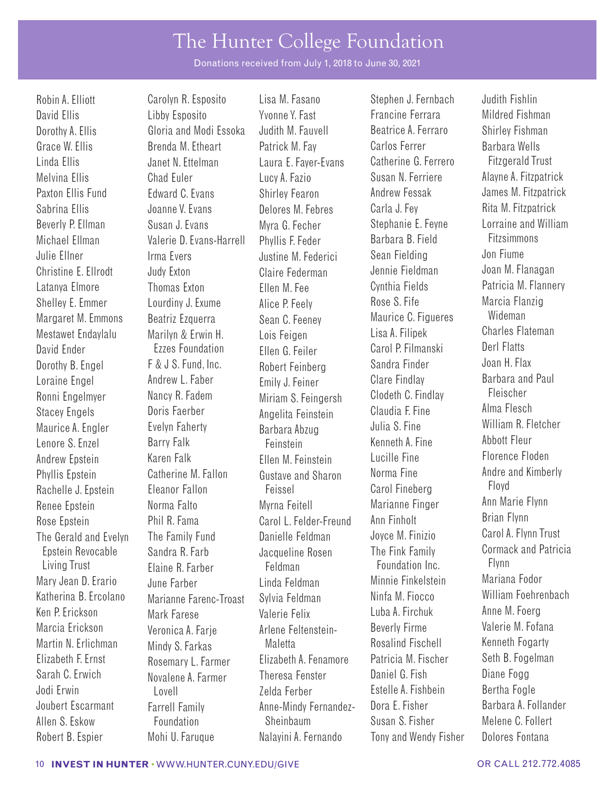Donations received from July 1, 2018 to June 30, 2021

Shelley E. Emmer Margaret M. Emmons Mestawet Endaylalu David Ender Dorothy B. Engel Loraine Engel Ronni Engelmyer Stacey Engels Maurice A. Engler Lenore S. Enzel Phyllis Epstein Rachelle J. Epstein Renee Epstein Rose Epstein The Gerald and Evelyn Epstein Revocable Living Trust Katherina B. Ercolano Ken P. Erickson Marcia Erickson Martin N. Erlichman Elizabeth F. Ernst Sarah C. Erwich

 Marilyn & Erwin H. David Ellis Libby Esposito Yvonne Y. Fast Francine Ferrara Mildred Fishman Dorothy A. Ellis Gloria and Modi Essoka Judith M. Fauvell Beatrice A. Ferraro Shirley Fishman Grace W. Ellis **Brenda M. Etheart** Patrick M. Fay Carlos Ferrer Barbara Wells Linda Ellis **Janet N. Ettelman** Laura E. Fayer-Evans Catherine G. Ferrero Fitzgerald Trust Melvina Ellis Chad Euler Lucy A. Fazio Susan N. Ferriere Alayne A. Fitzpatrick Paxton Ellis Fund Edward C. Evans Shirley Fearon Andrew Fessak James M. Fitzpatrick Sabrina Ellis Comme V. Evans Delores M. Febres Carla J. Fey Rita M. Fitzpatrick Beverly P. Ellman Susan J. Evans Myra G. Fecher Stephanie E. Feyne Lorraine and William Michael Ellman Valerie D. Evans-Harrell Phyllis F. Feder Barbara B. Field Julie Ellner **Irma Evers** Justine M. Federici Sean Fielding Jon Fiume Christine E. Ellrodt Judy Exton Claire Federman Jennie Fieldman Joan M. Flanagan Latanya Elmore Thomas Exton Ellen M. Fee Cynthia Fields Patricia M. Flannery Lourdiny J. Exume Beatriz Ezquerra Ezzes Foundation F & J S. Fund, Inc. Andrew L. Faber Nancy R. Fadem Doris Faerber Evelyn Faherty Barry Falk Andrew Epstein Karen Falk Ellen M. Feinstein Lucille Fine Florence Floden Catherine M. Fallon Eleanor Fallon Norma Falto Phil R. Fama The Family Fund Sandra R. Farb Elaine R. Farber Mary Jean D. Erario June Farber Linda Feldman Minnie Finkelstein Mariana Fodor Marianne Farenc-Troast Mark Farese Veronica A. Farje Mindy S. Farkas Rosemary L. Farmer Novalene A. Farmer Jodi Erwin Lovell Zelda Ferber Estelle A. Fishbein Bertha Fogle Joubert Escarmant Farrell Family **Anne-Mindy Fernandez-** Dora E. Fisher Barbara A. Follander Allen S. Eskow Foundation Sheinbaum Sheinbaum Susan S. Fisher Melene C. Follert

Robin A. Elliott **Carolyn R. Esposito** Lisa M. Fasano Stephen J. Fernbach Judith Fishlin Alice P. Feely Sean C. Feeney Lois Feigen Ellen G. Feiler Robert Feinberg Emily J. Feiner Miriam S. Feingersh Angelita Feinstein Barbara Abzug Feinstein Gustave and Sharon Feissel Myrna Feitell Carol L. Felder-Freund Danielle Feldman Jacqueline Rosen Feldman Sylvia Feldman Valerie Felix Arlene Feltenstein-Maletta Elizabeth A. Fenamore Theresa Fenster

Rose S. Fife Maurice C. Figueres Lisa A. Filipek Carol P. Filmanski Sandra Finder Clare Findlay Clodeth C. Findlay Claudia F. Fine Julia S. Fine Kenneth A. Fine Norma Fine Carol Fineberg Marianne Finger Ann Finholt Joyce M. Finizio The Fink Family Foundation Inc. Ninfa M. Fiocco Luba A. Firchuk Beverly Firme Rosalind Fischell Patricia M. Fischer Daniel G. Fish Robert B. Espier Mohi U. Faruque Nalayini A. Fernando Tony and Wendy Fisher Dolores Fontana

Marcia Flanzig Wideman Charles Flateman Derl Flatts Joan H. Flax Barbara and Paul Fleischer Alma Flesch William R. Fletcher Abbott Fleur Andre and Kimberly Floyd Ann Marie Flynn Brian Flynn Carol A. Flynn Trust Cormack and Patricia Flynn William Foehrenbach Anne M. Foerg Valerie M. Fofana Kenneth Fogarty Seth B. Fogelman Diane Fogg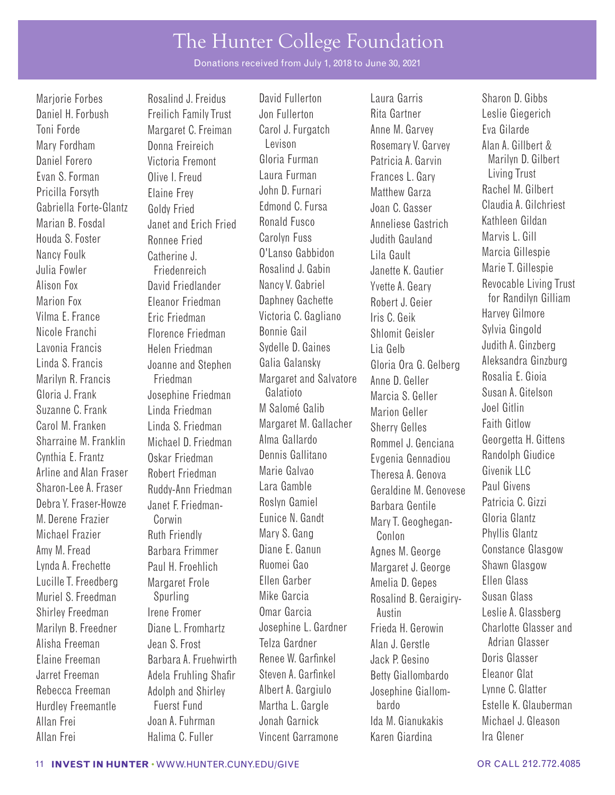Donations received from July 1, 2018 to June 30, 2021

Pricilla Forsyth Gabriella Forte-Glantz Marian B. Fosdal Alison Fox Marion Fox Linda S. Francis Marilyn R. Francis Carol M. Franken Sharraine M. Franklin Cynthia E. Frantz Arline and Alan Fraser M. Derene Frazier Michael Frazier

Catherine J. Daniel H. Forbush Freilich Family Trust Jon Fullerton Rita Gartner Leslie Giegerich Toni Forde Margaret C. Freiman Carol J. Furgatch Anne M. Garvey Eva Gilarde Mary Fordham **Donna Freireich** Levison Rosemary V. Garvey Alan A. Gillbert &<br>Daniel Forero Mictoria Fremont Gloria Furman Patricia A Garvin Marilyn D. Gilhe Daniel Forero Victoria Fremont Gloria Furman Patricia A. Garvin Marilyn D. Gilbert Evan S. Forman Olive I. Freud Laura Furman Frances L. Gary Living Trust Elaine Frey Goldy Fried Janet and Erich Fried Houda S. Foster Ronnee Fried Carolyn Fuss Judith Gauland Marvis L. Gill Nancy Foulk Catherine J. O'Lanso Gabbidon Lila Gault Marcia Gillespie Julia Fowler Friedenreich Rosalind J. Gabin Janette K. Gautier David Friedlander Eleanor Friedman Vilma E. France Eric Friedman Victoria C. Gagliano Iris C. Geik Harvey Gilmore Nicole Franchi Florence Friedman Bonnie Gail Shlomit Geisler Sylvia Gingold Lavonia Francis Helen Friedman Sydelle D. Gaines Lia Gelb Judith A. Ginzberg Joanne and Stephen Friedman Gloria J. Frank Josephine Friedman Galatioto Marcia S. Geller Susan A. Gitelson Suzanne C. Frank Linda Friedman M Salomé Galib Marion Geller Joel Gitlin Linda S. Friedman Michael D. Friedman Oskar Friedman Robert Friedman Sharon-Lee A. Fraser Ruddy-Ann Friedman Lara Gamble Geraldine M. Genovese Paul Givens Debra Y. Fraser-Howze Janet F. Friedman- Roslyn Gamiel Barbara Gentile Corwin Ruth Friendly Amy M. Fread Barbara Frimmer Diane E. Ganun Agnes M. George Constance Glasgow Lynda A. Frechette Paul H. Froehlich Ruomei Gao Margaret J. George Shawn Glasgow Lucille T. Freedberg Margaret Frole Ellen Garber Amelia D. Gepes Ellen Glass Muriel S. Freedman Spurling Mike Garcia Rosalind B. Geraigiry- Susan Glass Shirley Freedman Irene Fromer Omar Garcia Austin Australian Leslie A. Glassberg Alisha Freeman Jean S. Frost Telza Gardner Alan J. Gerstle Adrian Glasser Elaine Freeman Barbara A. Fruehwirth Renee W. Garfnkel Jack P. Gesino Doris Glasser Jarret Freeman Adela Fruhling Shafr Steven A. Garfnkel Betty Giallombardo Eleanor Glat Hurdley Freemantle Fuerst Fund Martha L. Gargle bardo Allan Frei Joan A. Fuhrman Jonah Garnick Ida M. Gianukakis Michael J. Gleason Allan Frei Halima C. Fuller Vincent Garramone Karen Giardina Ira Glener

Marjorie Forbes **Rosalind J. Freidus** David Fullerton Laura Garris Sharon D. Gibbs John D. Furnari Edmond C. Fursa Ronald Fusco Nancy V. Gabriel Daphney Gachette Galia Galansky Margaret and Salvatore Margaret M. Gallacher Alma Gallardo Dennis Gallitano Marie Galvao Eunice N. Gandt Mary S. Gang

Matthew Garza Joan C. Gasser Anneliese Gastrich Yvette A. Geary Robert J. Geier Gloria Ora G. Gelberg Anne D. Geller Sherry Gelles Rommel J. Genciana Evgenia Gennadiou Theresa A. Genova Mary T. Geoghegan-Conlon

Rachel M. Gilbert Claudia A. Gilchriest Kathleen Gildan Revocable Living Trust for Randilyn Gilliam Aleksandra Ginzburg Rosalia E. Gioia Faith Gitlow Georgetta H. Gittens Randolph Giudice Givenik II C Gloria Glantz Phyllis Glantz Marilyn B. Freedner Diane L. Fromhartz Josephine L. Gardner Frieda H. Gerowin Charlotte Glasser and Rebecca Freeman and Adolph and Shirley Albert A. Gargiulo Josephine Giallom- Lynne C. Glatter<br>Hurdley Freemantle Fuerst Fund Martha L. Gargle bardo Fstelle K. Glauberman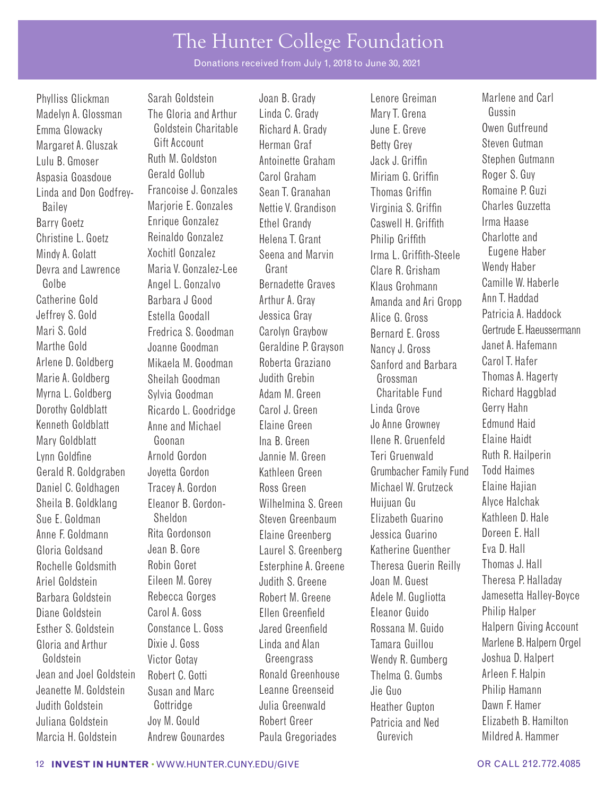Donations received from July 1, 2018 to June 30, 2021

Madelyn A. Glossman The Gloria and Arthur Linda C. Grady Mary T. Grena Gussin<br>Emma Glowacky Goldstein Charitable Richard A. Grady June E. Greve Gutfreund Emma Glowacky Goldstein Charitable Richard A. Grady June E. Greve<br>Margaret A. Gluszak Gift Account Herman Graf Margaret A. Gluszak Gift Account Herman Graf Betty Grey Steven Gutman Lulu B. Gmoser Ruth M. Goldston Antoinette Graham Jack J. Griffn Stephen Gutmann Aspasia Goasdoue Gerald Gollub Carol Graham Miriam G. Griffin Roger S. Guy<br>Linda and Don Godfrey, Francoise J. Gonzales Sean T. Granaban Thomas Griffin Romaine P. Guzi Linda and Don Godfrey- Francoise J. Gonzales Sean T. Granahan Thomas Griffn Romaine P. Guzi Bailey Marjorie E. Gonzales Nettie V. Grandison Virginia S. Griffn Charles Guzzetta Barry Goetz **Enrique Gonzalez** Ethel Grandy Caswell H. Griffith Christine L. Goetz Mindy A. Golatt Devra and Lawrence Maria V. Gonzalez-Lee Grant Clare R. Grisham Wendy Haber<br>Golbe Angel Gonzalvo – Rernadette Graves – Klaus Grobmann – Camille W. Haberle Catherine Gold Jeffrey S. Gold Marthe Gold Arlene D. Goldberg Marie A. Goldberg Sheilah Goodman Judith Grebin Grossman Thomas A. Hagerty Myrna L. Goldberg Sylvia Goodman Adam M. Green Charitable Fund Richard Haggblad Dorothy Goldblatt Ricardo L. Goodridge Carol J. Green Linda Grove Gerry Hahn<br>Kenneth Goldblatt Anno and Michael Flaine Green Jo Anne Growney Fdmund Haid Kenneth Goldblatt Anne and Michael Elaine Green Jo Anne Growney Edmund Haid Mary Goldblatt Goonan Ina B. Green Ilene R. Gruenfeld Lynn Goldfine **Arnold Gordon** Jannie M. Green Teri Gruenwald Ruth R. Hailperin Gerald R. Goldgraben Joyetta Gordon Kathleen Green Grumbacher Family Fund Todd Haimes Daniel C. Goldhagen Tracey A. Gordon Ross Green Michael W. Grutzeck Elaine Hajian Sheila B. Goldklang Eleanor B. Gordon- Wilhelmina S. Green Huijuan Gu Alyce Halchak Sue E. Goldman Sheldon Steven Greenbaum Elizabeth Guarino Kathleen D. Hale Anne F. Goldmann Rita Gordonson Elaine Greenberg Jessica Guarino Doreen E. Hall Gloria Goldsand Jean B. Gore Laurel S. Greenberg Katherine Guenther Eva D. Hall Rochelle Goldsmith Robin Goret **Esterphine A. Greene** Theresa Guerin Reilly Thomas J. Hall Ariel Goldstein **Eileen M. Gorey Goldstein** Judith S. Greene Joan M. Guest Theresa P. Halladay Barbara Goldstein and Rebecca Gorges and Robert M. Greene and Adele M. Gugliotta and Jamesetta Halley-Boyce Diane Goldstein Carol A. Goss Ellen Greenfeld Eleanor Guido Philip Halper Esther S. Goldstein Constance L. Goss Jared Greenfeld Rossana M. Guido Halpern Giving Account Goldstein Victor Gotay Greengrass Wendy R. Gumberg Joshua D. Halpert Jean and Joel Goldstein Robert C. Gotti **Ronald Greenhouse** Thelma G. Gumbs Arleen F. Halpin Jeanette M. Goldstein Susan and Marc Leanne Greenseid Jie Guo Philip Hamann Judith Goldstein Gottridge Julia Greenwald Heather Gupton Dawn F. Hamer Juliana Goldstein Joy M. Gould Robert Greer Patricia and Ned Elizabeth B. Hamilton

Reinaldo Gonzalez Xochitl Gonzalez Barbara J Good Estella Goodall Joanne Goodman Mikaela M. Goodman Marcia H. Goldstein Andrew Gounardes Paula Gregoriades Gurevich Mildred A. Hammer

Helena T. Grant Seena and Marvin Arthur A. Gray Jessica Gray Geraldine P. Grayson Roberta Graziano

Phylliss Glickman Sarah Goldstein Joan B. Grady Lenore Greiman Marlene and Carl Philip Griffith Irma L. Griffth-Steele Golbe Angel L. Gonzalvo Bernadette Graves Klaus Grohmann Camille W. Haberle Amanda and Ari Gropp Alice G. Gross Nancy J. Gross Sanford and Barbara

Charlotte and Eugene Haber Ann T. Haddad Patricia A. Haddock Mari S. Gold **Fredrica S. Goodman** Carolyn Graybow Bernard F. Gross Gertrude E. Haeussermann Janet A. Hafemann Carol T. Hafer Gloria and Arthur Dixie J. Goss Linda and Alan Tamara Guillou Marlene B. Halpern Orgel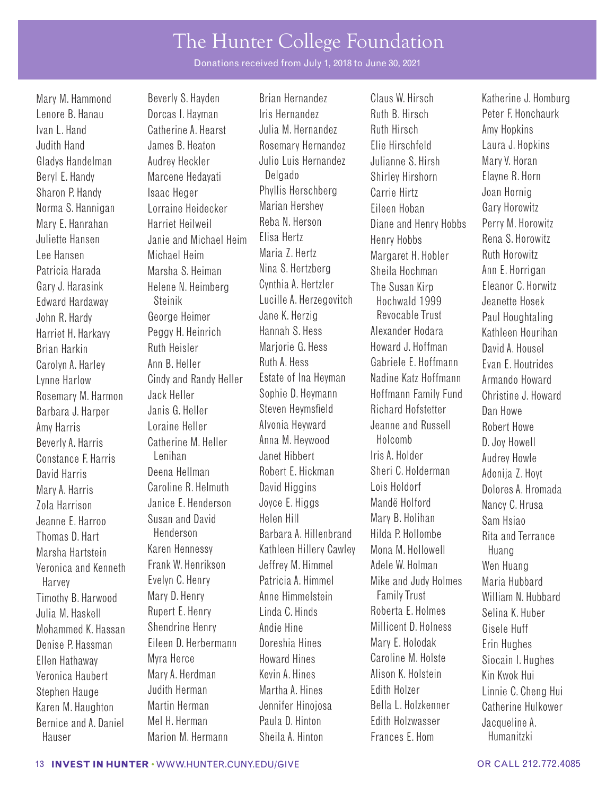Donations received from July 1, 2018 to June 30, 2021

Amy Harris Beverly A. Harris Constance F. Harris

Lenore B. Hanau **Dorcas I. Hayman** Iris Hernandez **Ruth B. Hirsch Peter F. Honchaurk** Ivan L. Hand Catherine A. Hearst Julia M. Hernandez Ruth Hirsch Amy Hopkins Judith Hand James B. Heaton Rosemary Hernandez Elie Hirschfeld Laura J. Hopkins Gladys Handelman and Audrey Heckler and Julio Luis Hernandez Julianne S. Hirsh Mary V. Horan Beryl E. Handy Marcene Hedayati Delgado Shirley Hirshorn Elayne R. Horn Sharon P. Handy Isaac Heger Phyllis Herschberg Carrie Hirtz Joan Hornig Norma S. Hannigan Lorraine Heidecker Marian Hershey Eileen Hoban Gary Horowitz Mary E. Hanrahan Harriet Heilweil Reba N. Herson Diane and Henry Hobbs Perry M. Horowitz Juliette Hansen and Janie and Michael Heim Elisa Hertz Fenry Hobbs Rena S. Horowitz Lee Hansen Michael Heim Maria Z. Hertz Margaret H. Hobler Ruth Horowitz Patricia Harada Marsha S. Heiman Nina S. Hertzberg Sheila Hochman Ann E. Horrigan Gary J. Harasink Helene N. Heimberg Cynthia A. Hertzler The Susan Kirp Eleanor C. Horwitz Edward Hardaway Steinik Lucille A. Herzegovitch Hochwald 1999 Jeanette Hosek John R. Hardy George Heimer Jane K. Herzig Revocable Trust Paul Houghtaling Harriet H. Harkavy Peggy H. Heinrich Hannah S. Hess Alexander Hodara Kathleen Hourihan Brian Harkin Ruth Heisler Marjorie G. Hess Howard J. Hoffman David A. Housel Carolyn A. Harley Ann B. Heller Ruth A. Hess Gabriele E. Hoffmann Evan E. Houtrides Lynne Harlow Cindy and Randy Heller Estate of Ina Heyman Nadine Katz Hoffmann Armando Howard Rosemary M. Harmon Jack Heller Sophie D. Heymann Hoffmann Family Fund Christine J. Howard Barbara J. Harper Janis G. Heller Steven Heymsfield Richard Hofstetter Dan Howe Loraine Heller Catherine M. Heller Lenihan David Harris Deena Hellman Robert E. Hickman Sheri C. Holderman Adonija Z. Hoyt Mary A. Harris Caroline R. Helmuth David Higgins Lois Holdorf Dolores A. Hromada Zola Harrison Janice E. Henderson Joyce E. Higgs Mandë Holford Nancy C. Hrusa Jeanne E. Harroo Susan and David Helen Hill Mary B. Holihan Sam Hsiao Thomas D. Hart **Henderson** Barbara A. Hillenbrand Hilda P. Hollombe Rita and Terrance Marsha Hartstein Karen Hennessy Kathleen Hillery Cawley Mona M. Hollowell Huang Veronica and Kenneth Frank W. Henrikson Jeffrey M. Himmel Adele W. Holman Wen Huang Harvey **Exelyn C. Henry Patricia A. Himmel** Mike and Judy Holmes Maria Hubbard Timothy B. Harwood Mary D. Henry Anne Himmelstein Family Trust William N. Hubbard<br>Julia M. Haskell Rupert F. Henry Linda C. Hinds Roberta F. Holmes Selina K. Huber Julia M. Haskell Rupert E. Henry Linda C. Hinds Roberta E. Holmes Selina K. Huber Mohammed K. Hassan Shendrine Henry Andie Hine Millicent D. Holness Gisele Huff Denise P. Hassman Eileen D. Herbermann Doreshia Hines Mary E. Holodak Erin Hughes Ellen Hathaway Myra Herce Howard Hines Caroline M. Holste Siocain I. Hughes Veronica Haubert Mary A. Herdman Kevin A. Hines Alison K. Holstein Kin Kwok Hui Stephen Hauge Judith Herman Martha A. Hines Edith Holzer Linnie C. Cheng Hui Karen M. Haughton Martin Herman Jennifer Hinojosa Bella L. Holzkenner Catherine Hulkower<br>Rernice and A Daniel Mel H. Herman Paula D. Hinton Fdith Holzwasser Jacqueline A

Mary M. Hammond Beverly S. Hayden Brian Hernandez Claus W. Hirsch Katherine J. Homburg Alvonia Heyward Anna M. Heywood Janet Hibbert

Jeanne and Russell Holcomb Iris A. Holder Bernice and A. Daniel Mel H. Herman Paula D. Hinton Edith Holzwasser Jacqueline A.<br>Hauser Marion M. Hermann Sheila A. Hinton Frances F. Hom Humanitzki Hauser Marion M. Hermann Sheila A. Hinton Frances E. Hom Humanitzki

Robert Howe D. Joy Howell Audrey Howle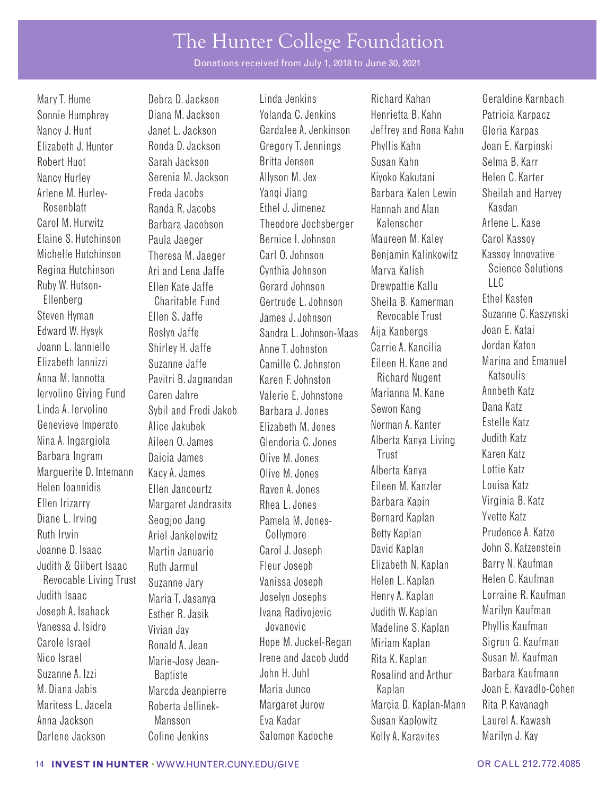Donations received from July 1, 2018 to June 30, 2021

Sonnie Humphrey Diana M. Jackson Yolanda C. Jenkins Henrietta B. Kahn Patricia Karpacz Nancy J. Hunt Janet L. Jackson Gardalee A. Jenkinson Jeffrey and Rona Kahn Gloria Karpas Elizabeth J. Hunter Ronda D. Jackson Gregory T. Jennings Phyllis Kahn Joan E. Karpinski Nancy Hurley Serenia M. Jackson Allyson M. Jex Kiyoko Kakutani Helen C. Karter Arlene M. Hurley- Freda Jacobs Nanqi Jiang Barbara Kalen Lewin Sheilah and Harvey Carol M. Hurwitz Barbara Jacobson Theodore Jochsberger Kalenscher Arlene L. Kase Elaine S. Hutchinson Paula Jaeger Bernice I. Johnson Maureen M. Kaley Carol Kassoy Michelle Hutchinson Theresa M. Jaeger Carl O. Johnson Benjamin Kalinkowitz Kassoy Innovative Regina Hutchinson Ruby W. Hutson-Ellenberg Steven Hyman Fllen S. Jaffe James J. Johnson Revocable Trust Suzanne C. Kaszynski Edward W. Hysyk Roslyn Jaffe Sandra L. Johnson-Maas Aija Kanbergs Joan E. Katai Joann L. Ianniello Shirley H. Jaffe Anne T. Johnston Carrie A. Kancilia Jordan Katon Elizabeth Iannizzi Suzanne Jaffe Camille C. Johnston Eileen H. Kane and Anna M. Iannotta Iervolino Giving Fund Linda A. Iervolino Genevieve Imperato Nina A. Ingargiola Aileen O. James Glendoria C. Jones Alberta Kanya Living Judith Katz Marquerite D. Intemann Helen Ioannidis Ellen Irizarry Diane L. Irving Ruth Irwin Judith & Gilbert Isaac Ruth Jarmul Fleur Joseph Elizabeth N. Kaplan Barry N. Kaufman Revocable Living Trust Judith Isaac Joseph A. Isahack Vanessa J. Isidro Carole Israel Nico Israel Suzanne A. Izzi M. Diana Jabis Marcda Jeanpierre Maria Junco Kaplan Joan E. Kavadlo-Cohen Maritess L. Jacela Roberta Jellinek- Margaret Jurow Marcia D. Kaplan-Mann Rita P. Kavanagh Anna Jackson Mansson Eva Kadar Susan Kaplowitz Laurel A. Kawash

Ari and Lena Jaffe Ellen Kate Jaffe Charitable Fund Pavitri B. Jagnandan Caren Jahre Sybil and Fredi Jakob Alice Jakubek Kacy A. James Ellen Jancourtz Margaret Jandrasits Seogjoo Jang Ariel Jankelowitz Suzanne Jary Maria T. Jasanya Esther R. Jasik Vivian Jay Ronald A. Jean Marie-Josy Jean-Baptiste

Mary T. Hume Debra D. Jackson Linda Jenkins Richard Kahan Geraldine Karnbach Cynthia Johnson Gerard Johnson Gertrude L. Johnson Karen F. Johnston Valerie E. Johnstone Barbara J. Jones Elizabeth M. Jones Olive M. Jones Raven A. Jones Rhea L. Jones Pamela M. Jones-Collymore Vanissa Joseph Joselyn Josephs Ivana Radivojevic Jovanovic Hope M. Juckel-Regan Irene and Jacob Judd John H. Juhl

Robert Huot Sarah Jackson Britta Jensen Susan Kahn Selma B. Karr Rosenblatt Randa R. Jacobs Ethel J. Jimenez Hannah and Alan Kasdan Marva Kalish Drewpattie Kallu Sheila B. Kamerman Richard Nugent Marianna M. Kane Sewon Kang Norman A. Kanter Barbara Ingram Daicia James Olive M. Jones Trust Karen Katz Alberta Kanya Eileen M. Kanzler Barbara Kapin Bernard Kaplan Betty Kaplan Joanne D. Isaac Martin Januario Carol J. Joseph David Kaplan John S. Katzenstein Helen L. Kaplan Henry A. Kaplan Judith W. Kaplan Madeline S. Kaplan Miriam Kaplan Rita K. Kaplan Rosalind and Arthur Darlene Jackson Coline Jenkins Salomon Kadoche Kelly A. Karavites Marilyn J. Kay

Science Solutions  $11C$ Ethel Kasten Katsoulis Annbeth Katz Dana Katz Estelle Katz Lottie Katz Louisa Katz Virginia B. Katz Yvette Katz Prudence A. Katze Helen C. Kaufman Lorraine R. Kaufman Marilyn Kaufman Phyllis Kaufman Sigrun G. Kaufman Susan M. Kaufman Barbara Kaufmann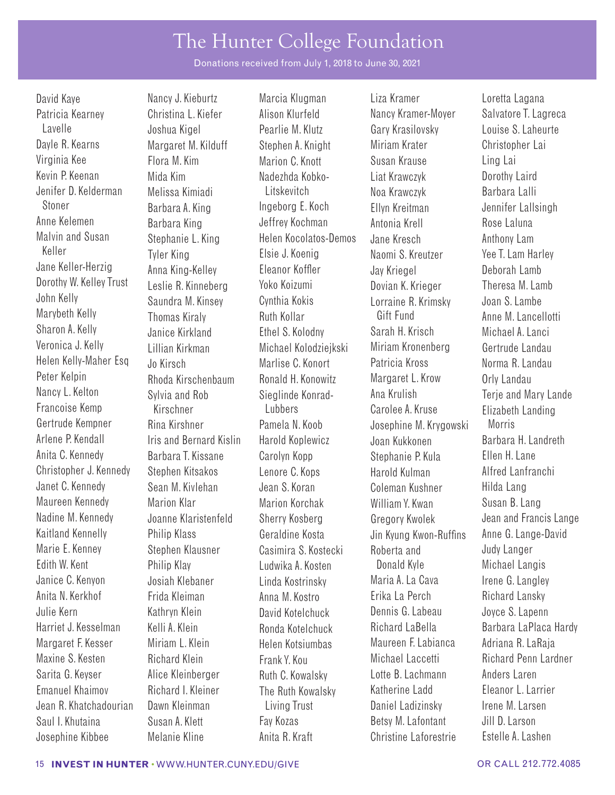Donations received from July 1, 2018 to June 30, 2021

Patricia Kearney Christina L. Kiefer Alison Klurfeld Nancy Kramer-Moyer Salvatore T. Lagreca Lavelle Joshua Kigel Pearlie M. Klutz Gary Krasilovsky Louise S. Laheurte Virginia Kee Flora M. Kim Marion C. Knott Susan Krause Ling Lai Kevin P. Keenan Mida Kim Nadezhda Kobko- Liat Krawczyk Dorothy Laird Jenifer D. Kelderman Melissa Kimiadi Litskevitch Noa Krawczyk Barbara Lalli Anne Kelemen Barbara King Jeffrey Kochman Antonia Krell Rose Laluna Malvin and Susan Keller Jane Keller-Herzig Dorothy W. Kelley Trust John Kelly Marybeth Kelly Sharon A. Kelly Veronica J. Kelly Lillian Kirkman Michael Kolodziejkski Miriam Kronenberg Gertrude Landau Helen Kelly-Maher Esq Jo Kirsch Marlise C. Konort Patricia Kross Norma R. Landau<br>Peter Kelpin Rhoda Kirschenbaum Ronald H. Konowitz Margaret I. Krow Orly Landau Peter Kelpin Rhoda Kirschenbaum Ronald H. Konowitz Margaret L. Krow Orly Landau Nancy L. Kelton Sylvia and Rob Sieglinde Konrad- Ana Krulish Terje and Mary Lande Gertrude Kempner Rina Kirshner Pamela N. Koob Josephine M. Krygowski Morris Arlene P. Kendall Iris and Bernard Kislin Harold Koplewicz Joan Kukkonen Barbara H. Landreth Anita C. Kennedy Barbara T. Kissane Carolyn Kopp Stephanie P. Kula Ellen H. Lane Christopher J. Kennedy Stephen Kitsakos Lenore C. Kops Harold Kulman Alfred Lanfranchi Janet C. Kennedy Sean M. Kivlehan Jean S. Koran Coleman Kushner Hilda Lang Maureen Kennedy Marion Klar Marion Korchak William Y. Kwan Susan B. Lang Nadine M. Kennedy Joanne Klaristenfeld Sherry Kosberg Gregory Kwolek Jean and Francis Lange Kaitland Kennelly Philip Klass Geraldine Kosta Jin Kyung Kwon-Ruffins Anne G. Lange-David Marie E. Kenney Stephen Klausner Casimira S. Kostecki Roberta and Judy Langer Edith W. Kent Philip Klay Ludwika A. Kosten Donald Kyle Michael Langis Janice C. Kenyon Josiah Klebaner Linda Kostrinsky Maria A. La Cava Irene G. Langley Julie Kern Kathryn Klein David Kotelchuck Dennis G. Labeau Joyce S. Lapenn Harriet J. Kesselman Kelli A. Klein Ronda Kotelchuck Richard LaBella Barbara LaPlaca Hardy Margaret F. Kesser Miriam L. Klein Helen Kotsiumbas Maureen F. Labianca Adriana R. LaRaja Maxine S. Kesten Richard Klein Frank Y. Kou Michael Laccetti Richard Penn Lardner Sarita G. Keyser Alice Kleinberger Ruth C. Kowalsky Lotte B. Lachmann Anders Laren Emanuel Khaimov Richard I. Kleiner The Ruth Kowalsky Katherine Ladd Eleanor L. Larrier Jean R. Khatchadourian Dawn Kleinman Living Trust Daniel Ladizinsky Irene M. Larsen Saul I. Khutaina Susan A. Klett Fay Kozas Betsy M. Lafontant Jill D. Larson

Stephanie L. King Tyler King Anna King-Kelley Leslie R. Kinneberg Saundra M. Kinsey Thomas Kiraly Janice Kirkland

David Kaye **Nancy J. Kieburtz** Marcia Klugman Liza Kramer Loretta Lagana Helen Kocolatos-Demos Elsie J. Koenig Eleanor Koffler Yoko Koizumi Cynthia Kokis Ruth Kollar Ethel S. Kolodny

Margaret M. Kilduff Stephen A. Knight Miriam Krater Christopher Lai Barbara A. King Theorg E. Koch Ellyn Kreitman Jennifer Lallsingh Jane Kresch Naomi S. Kreutzer Jay Kriegel Dovian K. Krieger Lorraine R. Krimsky Gift Fund Sarah H. Krisch Francoise Kemp Kirschner Lubbers Carolee A. Kruse Elizabeth Landing Anita N. Kerkhof Frida Kleiman Anna M. Kostro Erika La Perch Richard Lansky Josephine Kibbee Melanie Kline Anita R. Kraft Christine Laforestrie Estelle A. Lashen

Anthony Lam Yee T. Lam Harley Deborah Lamb Theresa M. Lamb Joan S. Lambe Anne M. Lancellotti Michael A. Lanci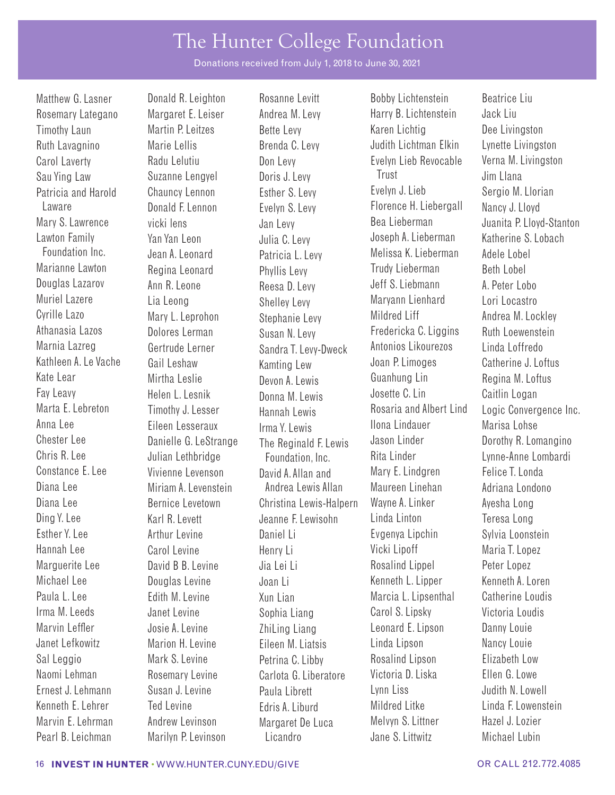Donations received from July 1, 2018 to June 30, 2021

Lawton Family Foundation Inc. Marianne Lawton Douglas Lazarov Muriel Lazere Cyrille Lazo Athanasia Lazos Marnia Lazreg Kathleen A. Le Vache Kate Lear Chester Lee Chris R. Lee

Yan Yan Leon Jean A. Leonard Regina Leonard Ann R. Leone Lia Leong Mary L. Leprohon Dolores Lerman Gertrude Lerner Gail Leshaw Mirtha Leslie Eileen Lesseraux Irma Y. Lewis Danielle G. LeStrange Julian Lethbridge

Matthew G. Lasner **Donald R. Leighton** Rosanne Levitt **Bobby Lichtenstein** Beatrice Liu Julia C. Levy Patricia L. Levy Phyllis Levy Reesa D. Levy Shelley Levy Stephanie Levy Susan N. Levy Sandra T. Levy-Dweck Kamting Lew Devon A. Lewis The Reginald F. Lewis Foundation, Inc.

Rosemary Lategano Margaret E. Leiser Andrea M. Levy Harry B. Lichtenstein Jack Liu Timothy Laun Martin P. Leitzes Bette Levy Karen Lichtig Dee Livingston Ruth Lavagnino Marie Lellis Brenda C. Levy Judith Lichtman Elkin Lynette Livingston Carol Laverty Radu Lelutiu Don Levy Evelyn Lieb Revocable Verna M. Livingston Sau Ying Law Suzanne Lengyel Doris J. Levy Trust Trust Jim Llana Patricia and Harold Chauncy Lennon Esther S. Levy Evelyn J. Lieb Sergio M. Llorian Laware Donald F. Lennon Evelyn S. Levy Florence H. Liebergall Nancy J. Lloyd Joseph A. Lieberman Melissa K. Lieberman Trudy Lieberman Jeff S. Liebmann Maryann Lienhard Mildred Liff Fredericka C. Liggins Antonios Likourezos Joan P. Limoges Guanhung Lin Fay Leavy Helen L. Lesnik Donna M. Lewis Josette C. Lin Caitlin Logan Jason Linder Rita Linder Constance E. Lee Vivienne Levenson David A. Allan and Mary E. Lindgren Felice T. Londa Diana Lee Miriam A. Levenstein Andrea Lewis Allan Maureen Linehan Adriana Londono Diana Lee **Bernice Levetown** Christina Lewis-Halpern Wayne A. Linker Ayesha Long Ding Y. Lee **Karl R. Levett** Jeanne F. Lewisohn Linda Linton Teresa Long Esther Y. Lee **Arthur Levine** Daniel Li **Evgenya Lipchin** Sylvia Loonstein Hannah Lee Carol Levine Henry Li Vicki Lipoff Maria T. Lopez Marguerite Lee **David B B. Levine** Jia Lei Li **Rosalind Lippel** Peter Lopez Michael Lee Douglas Levine Joan Li Kenneth L. Lipper Kenneth A. Loren Paula L. Lee **Edith M. Levine** Xun Lian Marcia L. Lipsenthal Catherine Loudis Irma M. Leeds **Janet Levine** Sophia Liang Carol S. Lipsky Victoria Loudis Marvin Leffler **Josie A. Levine** ZhiLing Liang Leonard E. Lipson Danny Louie Janet Lefkowitz Marion H. Levine Eileen M. Liatsis Linda Lipson Nancy Louie Sal Leggio Mark S. Levine Petrina C. Libby Rosalind Lipson Elizabeth Low Naomi Lehman Rosemary Levine Carlota G. Liberatore Victoria D. Liska Ellen G. Lowe Ernest J. Lehmann Susan J. Levine Paula Librett Lynn Liss Judith N. Lowell Kenneth E. Lehrer Ted Levine **Edris A. Liburd** Mildred Litke Linda F. Lowenstein Marvin E. Lehrman Andrew Levinson Margaret De Luca Melvyn S. Littner Hazel J. Lozier Pearl B. Leichman Marilyn P. Levinson Licandro Jane S. Littwitz Michael Lubin

Mary S. Lawrence vicki lens Jan Levy Bea Lieberman Juanita P. Lloyd-Stanton Katherine S. Lobach Adele Lobel Beth Lobel A. Peter Lobo Lori Locastro Andrea M. Lockley Ruth Loewenstein Linda Loffredo Catherine J. Loftus Regina M. Loftus Marta E. Lebreton Timothy J. Lesser Hannah Lewis Rosaria and Albert Lind Logic Convergence Inc. Dorothy R. Lomangino Lynne-Anne Lombardi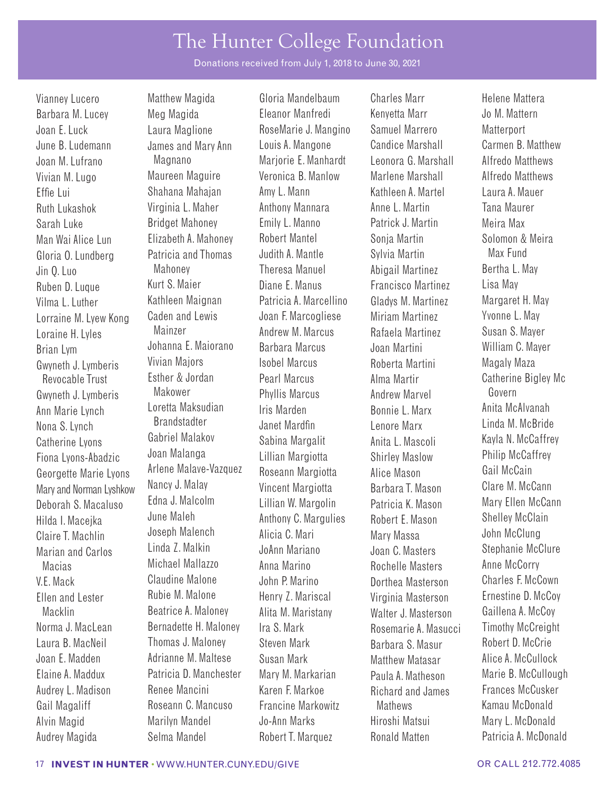Donations received from July 1, 2018 to June 30, 2021

Lorraine M. Lyew Kong Loraine H. Lyles Brian Lym Gwyneth J. Lymberis Revocable Trust Ann Marie Lynch Nona S. Lynch Catherine Lyons Fiona Lyons-Abadzic Georgette Marie Lyons Mary and Norman Lyshkow Deborah S. Macaluso Hilda I. Macejka Claire T. Machlin

Barbara M. Lucey Meg Magida Eleanor Manfredi Kenyetta Marr Jo M. Mattern Joan E. Luck Laura Maglione RoseMarie J. Mangino Samuel Marrero Matterport June B. Ludemann James and Mary Ann Louis A. Mangone Candice Marshall Carmen B. Matthew Joan M. Lufrano Magnano Marjorie E. Manhardt Leonora G. Marshall Alfredo Matthews Vivian M. Lugo Maureen Maguire Veronica B. Manlow Marlene Marshall Alfredo Matthews Effie Lui Shahana Mahajan Amy L. Mann Kathleen A. Martel Laura A. Mauer Ruth Lukashok Virginia L. Maher Anthony Mannara Anne L. Martin Tana Maurer Sarah Luke Bridget Mahoney Emily L. Manno Patrick J. Martin Meira Max Man Wai Alice Lun Elizabeth A. Mahoney Robert Mantel Sonja Martin Solomon & Meira Gloria O. Lundberg Patricia and Thomas Judith A. Mantle Sylvia Martin Max Fund Jin Q. Luo Mahoney Theresa Manuel Abigail Martinez Bertha L. May Ruben D. Luque Kurt S. Maier Diane E. Manus Francisco Martinez Lisa May Vilma L. Luther Kathleen Maignan Patricia A. Marcellino Gladys M. Martinez Margaret H. May Caden and Lewis Mainzer Johanna E. Maiorano Vivian Majors Esther & Jordan Gwyneth J. Lymberis Makower Phyllis Marcus Andrew Marvel Govern Loretta Maksudian Brandstadter Gabriel Malakov Joan Malanga Arlene Malave-Vazquez Nancy J. Malay Edna J. Malcolm June Maleh Joseph Malench Marian and Carlos Linda Z. Malkin JoAnn Mariano Joan C. Masters Stephanie McClure Macias Michael Mallazzo Anna Marino Rochelle Masters Anne McCorry V.E. Mack Claudine Malone John P. Marino Dorthea Masterson Charles F. McCown<br>Fllen and Lester Rubie M. Malone Henry 7 Mariscal Virginia Masterson Frnestine D. McCov Ellen and Lester Rubie M. Malone Henry Z. Mariscal Virginia Masterson Ernestine D. McCoy Macklin Beatrice A. Maloney Alita M. Maristany Walter J. Masterson Gaillena A. McCoy Norma J. MacLean Bernadette H. Maloney Ira S. Mark Rosemarie A. Masucci Timothy McCreight Laura B. MacNeil Thomas J. Maloney Steven Mark Barbara S. Masur Robert D. McCrie Joan E. Madden Adrianne M. Maltese Susan Mark Matthew Matasar Alice A. McCullock Patricia D. Manchester Mary M. Markarian Paula A. Matheson Marie B. McCullough Audrey L. Madison Renee Mancini Karen F. Markoe Richard and James Frances McCusker Gail Magaliff **Roseann C. Mancuso** Francine Markowitz Mathews Kamau McDonald Alvin Magid **Marilyn Mandel** Jo-Ann Marks Hiroshi Matsui Mary L. McDonald

Vianney Lucero Matthew Magida Gloria Mandelbaum Charles Marr Helene Mattera Joan F. Marcogliese Andrew M. Marcus Barbara Marcus Isobel Marcus Pearl Marcus Iris Marden Janet Mardfn Sabina Margalit Lillian Margiotta Roseann Margiotta Vincent Margiotta Lillian W. Margolin Anthony C. Margulies Alicia C. Mari

Miriam Martinez Rafaela Martinez Joan Martini Roberta Martini Alma Martir Bonnie L. Marx Lenore Marx Anita L. Mascoli Shirley Maslow Alice Mason Barbara T. Mason Patricia K. Mason Robert E. Mason Mary Massa Audrey Magida Selma Mandel Robert T. Marquez Ronald Matten Patricia A. McDonald

Yvonne L. May Susan S. Mayer William C. Mayer Magaly Maza Catherine Bigley Mc Anita McAlvanah Linda M. McBride Kayla N. McCaffrey Philip McCaffrey Gail McCain Clare M. McCann Mary Ellen McCann Shelley McClain John McClung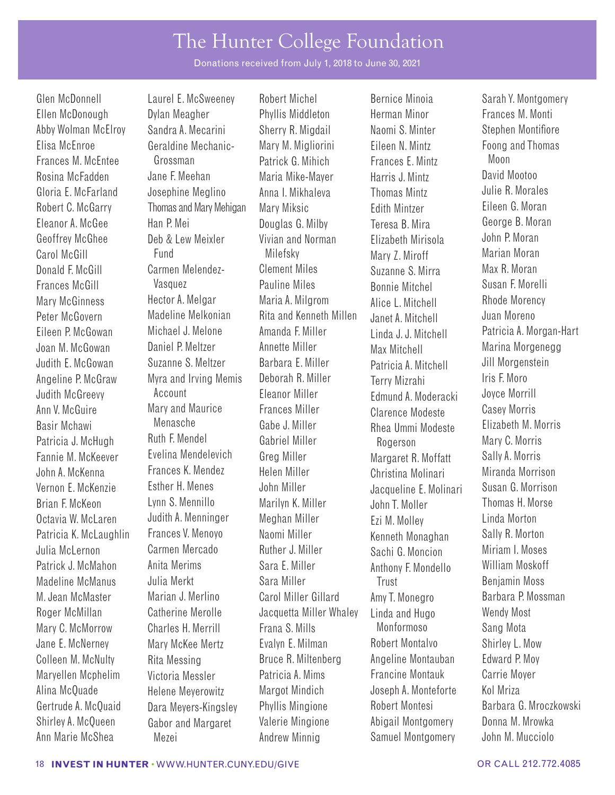Donations received from July 1, 2018 to June 30, 2021

Angeline P. McGraw Judith McGreevy Patricia J. McHugh Fannie M. McKeever John A. McKenna

Myra and Irving Memis Account Ruth F. Mendel Evelina Mendelevich Frances K. Mendez

Glen McDonnell **E. McSweeney** Robert Michel Bernice Minoia Sarah Y. Montgomery Ellen McDonough Dylan Meagher Phyllis Middleton Herman Minor Frances M. Monti Abby Wolman McElroy Sandra A. Mecarini Sherry R. Migdail Naomi S. Minter Stephen Montifiore Elisa McEnroe Geraldine Mechanic- Mary M. Migliorini Eileen N. Mintz Foong and Thomas Frances M. McEntee Grossman Patrick G. Mihich Frances E. Mintz Moon Rosina McFadden Jane F. Meehan Maria Mike-Mayer Harris J. Mintz David Mootoo<br>Gloria E. McFarland Josephine Meglino Anna L. Mikhaleya Thomas Mintz Julie R. Morales Gloria E. McFarland Josephine Meglino Anna I. Mikhaleva Thomas Mintz Julie R. Morales Robert C. McGarry Thomas and Mary Mehigan Mary Miksic Edith Mintzer Eleanor A. McGee Han P. Mei Douglas G. Milby Teresa B. Mira George B. Moran Geoffrey McGhee **Deb & Lew Meixler** Vivian and Norman Flizabeth Mirisola John P. Moran Carol McGill Fund Milefsky Mary Z. Miroff Marian Moran Donald F. McGill Carmen Melendez- Clement Miles Suzanne S. Mirra Max R. Moran Frances McGill Vasquez Pauline Miles Bonnie Mitchel Susan F. Morelli Mary McGinness Hector A. Melgar Maria A. Milgrom Alice L. Mitchell Rhode Morency Peter McGovern Madeline Melkonian Rita and Kenneth Millen Janet A. Mitchell Juan Moreno<br>Fileen P McGowan Michael J. Melone Amanda F. Miller Juan Juan J. J. Mitchell Patricia A. Mo Eileen P. McGowan Michael J. Melone Amanda F. Miller Linda J. J. Mitchell Patricia A. Morgan-Hart Joan M. McGowan Daniel P. Meltzer Annette Miller Max Mitchell Marina Morgenegg Judith E. McGowan Suzanne S. Meltzer Barbara E. Miller Patricia A. Mitchell Jill Morgenstein Deborah R. Miller Eleanor Miller Ann V. McGuire Mary and Maurice Frances Miller Clarence Modeste Casey Morris Basir Mchawi Menasche Gabe J. Miller Rhea Ummi Modeste Elizabeth M. Morris Gabriel Miller Greg Miller Helen Miller Vernon E. McKenzie Esther H. Menes John Miller Jacqueline E. Molinari Susan G. Morrison Brian F. McKeon Lynn S. Mennillo Marilyn K. Miller John T. Moller Thomas H. Morse Octavia W. McLaren Judith A. Menninger Meghan Miller Ezi M. Molley Linda Morton Patricia K. McLaughlin Frances V. Menoyo Naomi Miller Kenneth Monaghan Sally R. Morton Julia McLernon Carmen Mercado Ruther J. Miller Sachi G. Moncion Miriam I. Moses Patrick J. McMahon Anita Merims Sara E. Miller Anthony F. Mondello William Moskoff Madeline McManus Julia Merkt Sara Miller Trust Benjamin Moss M. Jean McMaster Marian J. Merlino Carol Miller Gillard Amy T. Monegro Barbara P. Mossman Roger McMillan Catherine Merolle Jacquetta Miller Whaley Linda and Hugo Wendy Most Mary C. McMorrow Charles H. Merrill Frana S. Mills Monformoso Sang Mota Jane E. McNerney Mary McKee Mertz Evalyn E. Milman Robert Montalvo Shirley L. Mow Colleen M. McNulty Rita Messing Bruce R. Miltenberg Angeline Montauban Edward P. Moy Maryellen Mcphelim Victoria Messler Patricia A. Mims Francine Montauk Carrie Moyer Alina McQuade **Helene Meyerowitz** Margot Mindich Joseph A. Monteforte Kol Mriza Gertrude A. McQuaid Dara Meyers-Kingsley Phyllis Mingione Robert Montesi Barbara G. Mroczkowski Shirley A. McQueen Gabor and Margaret Valerie Mingione Abigail Montgomery Donna M. Mrowka

Terry Mizrahi Edmund A. Moderacki Rogerson Margaret R. Moffatt Christina Molinari Ann Marie McShea Mezei Andrew Minnig Samuel Montgomery John M. Mucciolo

Iris F. Moro Joyce Morrill Mary C. Morris Sally A. Morris Miranda Morrison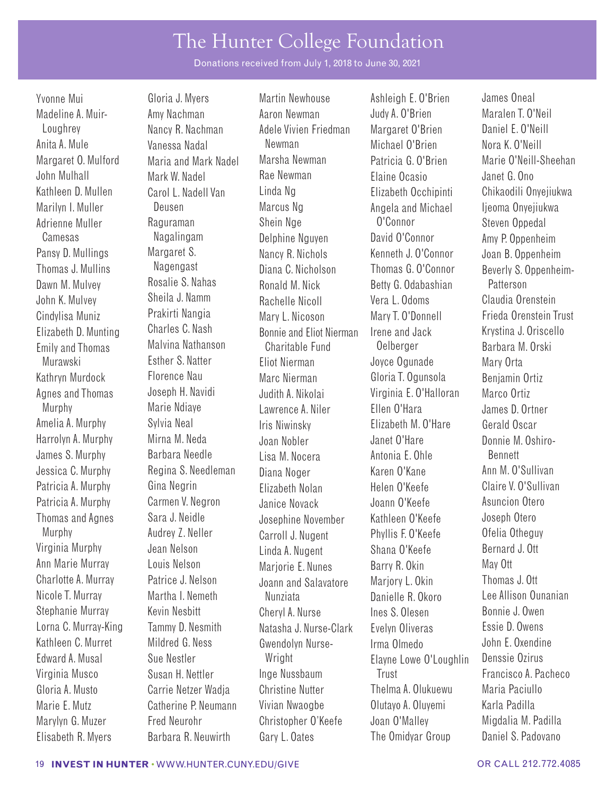Donations received from July 1, 2018 to June 30, 2021

Pansy D. Mullings Thomas J. Mullins Dawn M. Mulvey Cindylisa Muniz Elizabeth D. Munting  Margaret S. Nagengast Rosalie S. Nahas Prakirti Nangia Charles C. Nash

Yvonne Mui Gloria J. Myers Martin Newhouse Ashleigh E. O'Brien James Oneal Madeline A. Muir- Amy Nachman Aaron Newman Judy A. O'Brien Maralen T. O'Neil Loughrey Nancy R. Nachman Adele Vivien Friedman Margaret O'Brien Daniel E. O'Neill Anita A. Mule Changessa Nadal Newman Michael O'Brien Nora K. O'Neill Margaret O. Mulford Maria and Mark Nadel Marsha Newman Patricia G. O'Brien Marie O'Neill-Sheehan John Mulhall Mark W. Nadel Rae Newman Elaine Ocasio Janet G. Ono Kathleen D. Mullen Carol L. Nadell Van Linda Ng Elizabeth Occhipinti Chikaodili Onyejiukwa Marilyn I. Muller **Deusen** Deusen Marcus Ng Angela and Michael Ijeoma Onyejiukwa Adrienne Muller **Raguraman** Shein Nge O'Connor Steven Oppedal Camesas Nagalingam Delphine Nguyen David O'Connor Amy P. Oppenheim Nancy R. Nichols Diana C. Nicholson Ronald M. Nick John K. Mulvey Sheila J. Namm Rachelle Nicoll Vera L. Odoms Claudia Orenstein Mary L. Nicoson Bonnie and Eliot Nierman Emily and Thomas Malvina Nathanson Charitable Fund Oelberger Barbara M. Orski Murawski Esther S. Natter Eliot Nierman Joyce Ogunade Mary Orta Kathryn Murdock Florence Nau Marc Nierman Gloria T. Ogunsola Benjamin Ortiz Agnes and Thomas Joseph H. Navidi Judith A. Nikolai Virginia E. O'Halloran Marco Ortiz Murphy Marie Ndiaye Lawrence A. Niler Ellen O'Hara James D. Ortner Amelia A. Murphy Sylvia Neal **Iris Niwinsky** Elizabeth M. O'Hare Gerald Oscar Harrolyn A. Murphy Mirna M. Neda Joan Nobler Joan 2018 Janet O'Hare Donnie M. Oshiro-James S. Murphy Barbara Needle Lisa M. Nocera Antonia E. Ohle Bennett Jessica C. Murphy Regina S. Needleman Diana Noger Karen O'Kane Ann M. O'Sullivan Patricia A. Murphy Gina Negrin Elizabeth Nolan Helen O'Keefe Claire V. O'Sullivan Patricia A. Murphy Carmen V. Negron Janice Novack Joann O'Keefe Asuncion Otero Thomas and Agnes Sara J. Neidle Josephine November Kathleen O'Keefe Joseph Otero Murphy Audrey Z. Neller Carroll J. Nugent Phyllis F. O'Keefe Ofelia Otheguy Virginia Murphy Jean Nelson Linda A. Nugent Shana O'Keefe Bernard J. Ott Ann Marie Murray Louis Nelson Marjorie E. Nunes Barry R. Okin May Ott<br>Charlotte A. Murray Patrice J. Nelson Joann and Salayatore Mariory L. Okin Thomas Charlotte A. Murray Patrice J. Nelson Joann and Salavatore Marjory L. Okin Thomas J. Ott Nicole T. Murray Martha I. Nemeth Nunziata Nunziata Danielle R. Okoro Lee Allison Ounanian Stephanie Murray Kevin Nesbitt Cheryl A. Nurse Ines S. Olesen Bonnie J. Owen Lorna C. Murray-King Tammy D. Nesmith Natasha J. Nurse-Clark Evelyn Oliveras Essie D. Owens Kathleen C. Murret Mildred G. Ness Gwendolyn Nurse- Irma Olmedo John E. Oxendine Edward A. Musal Sue Nestler Wright Elayne Lowe O'Loughlin Denssie Ozirus Virginia Musco Susan H. Nettler Inge Nussbaum Trust Francisco A. Pacheco Gloria A. Musto Carrie Netzer Wadja Christine Nutter Thelma A. Olukuewu Maria Paciullo Marie E. Mutz Catherine P. Neumann Vivian Nwaogbe Olutayo A. Oluyemi Karla Padilla Marylyn G. Muzer Fred Neurohr Christopher O'Keefe Joan O'Malley Migdalia M. Padilla

Kenneth J. O'Connor Thomas G. O'Connor Betty G. Odabashian Mary T. O'Donnell Irene and Jack Elisabeth R. Myers Barbara R. Neuwirth Gary L. Oates The Omidyar Group Daniel S. Padovano

Joan B. Oppenheim Beverly S. Oppenheim-Patterson Frieda Orenstein Trust Krystina J. Oriscello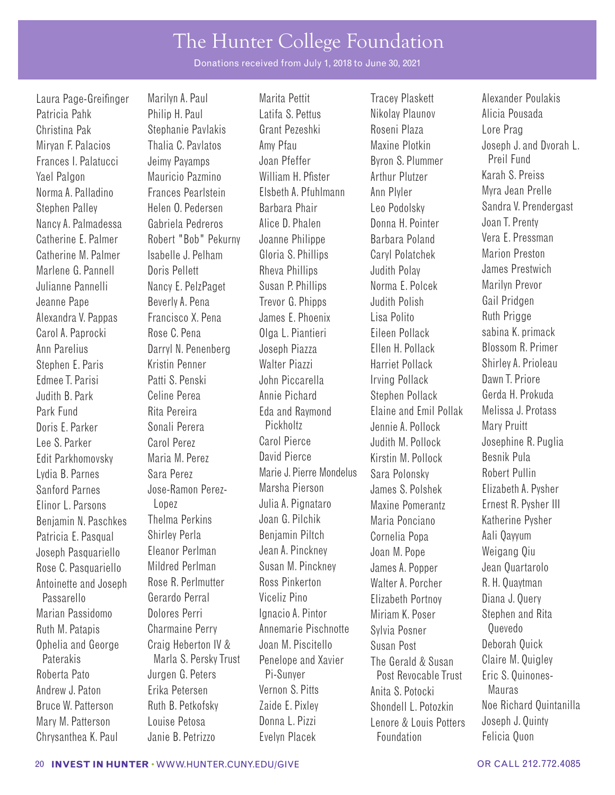Donations received from July 1, 2018 to June 30, 2021

Yael Palgon Mauricio Pazmino William H. Pfister Arthur Plutzer

Laura Page-Greifnger Marilyn A. Paul Marita Pettit Tracey Plaskett Alexander Poulakis

Patricia Pahk Philip H. Paul Latifa S. Pettus Nikolay Plaunov Alicia Pousada Christina Pak Stephanie Pavlakis Grant Pezeshki Roseni Plaza Lore Prag Frances I. Palatucci Jeimy Payamps Joan Pfeffer Byron S. Plummer Preil Fund<br>Vael Palgon Mauricio Pazmino William H. Pfister Arthur Plutzer Karah S. Preiss Norma A. Palladino Frances Pearlstein Elsbeth A. Pfuhlmann Ann Plyler Myra Jean Prelle Stephen Palley Helen O. Pedersen Barbara Phair Leo Podolsky Sandra V. Prendergast Nancy A. Palmadessa Gabriela Pedreros Alice D. Phalen Donna H. Pointer Joan T. Prenty Catherine E. Palmer Robert "Bob" Pekurny Joanne Philippe Barbara Poland Vera E. Pressman Catherine M. Palmer Isabelle J. Pelham Gloria S. Phillips Caryl Polatchek Marion Preston Marlene G. Pannell Doris Pellett Rheva Phillips Judith Polay James Prestwich Julianne Pannelli Nancy E. PelzPaget Susan P. Phillips Norma E. Polcek Marilyn Prevor Jeanne Pape Beverly A. Pena Trevor G. Phipps Judith Polish Gail Pridgen Alexandra V. Pappas Francisco X. Pena James E. Phoenix Lisa Polito Ruth Prigge Carol A. Paprocki Rose C. Pena Dlga L. Piantieri Eileen Pollack sabina K. primack Ann Parelius Darryl N. Penenberg Joseph Piazza Ellen H. Pollack Blossom R. Primer Stephen E. Paris Kristin Penner Walter Piazzi Harriet Pollack Shirley A. Prioleau Edmee T. Parisi Patti S. Penski John Piccarella Irving Pollack Dawn T. Priore Judith B. Park Celine Perea Annie Pichard Stephen Pollack Gerda H. Prokuda Park Fund Rita Pereira Eda and Raymond Elaine and Emil Pollak Melissa J. Protass Doris F. Parker Sonali Perera Pickholtz Jennie A. Pollock Mary Pruitt Lee S. Parker Carol Perez Carol Pierce Judith M. Pollock Josephine R. Puglia Edit Parkhomovsky Maria M. Perez David Pierce Kirstin M. Pollock Besnik Pula Lydia B. Parnes Sara Perez Marie J. Pierre Mondelus Sara Polonsky Robert Pullin Sanford Parnes Jose-Ramon Perez- Marsha Pierson James S. Polshek Elizabeth A. Pysher Elinor L. Parsons Lopez Julia A. Pignataro Maxine Pomerantz Ernest R. Pysher III Benjamin N. Paschkes Thelma Perkins Joan G. Pilchik Maria Ponciano Katherine Pysher Patricia E. Pasqual Shirley Perla Benjamin Piltch Cornelia Popa Aali Qayyum Joseph Pasquariello Eleanor Perlman Jean A. Pinckney Joan M. Pope Weigang Qiu Rose C. Pasquariello Mildred Perlman Susan M. Pinckney James A. Popper Jean Quartarolo Antoinette and Joseph Rose R. Perlmutter Ross Pinkerton Walter A. Porcher R. H. Quaytman Passarello Gerardo Perral Viceliz Pino Elizabeth Portnoy Diana J. Query Marian Passidomo Dolores Perri Ignacio A. Pintor Miriam K. Poser Stephen and Rita Ruth M. Patapis Charmaine Perry Annemarie Pischnotte Sylvia Posner Quevedo Ophelia and George Craig Heberton IV & Joan M. Piscitello Susan Post Deborah Quick Paterakis Marla S. Persky Trust Penelope and Xavier The Gerald & Susan Claire M. Quigley Roberta Pato Jurgen G. Peters Pi-Sunyer Post Revocable Trust Eric S. Quinones-Andrew J. Paton Erika Petersen Vernon S. Pitts Anita S. Potocki Mauras Mary M. Patterson Louise Petosa Donna L. Pizzi Lenore & Louis Potters Joseph J. Quinty Chrysanthea K. Paul Janie B. Petrizzo Evelyn Placek Foundation Felicia Quon

Mirvan F. Palacios Thalia C. Pavlatos Amy Pfau Maxine Plotkin Joseph J. and Dvorah L. Bruce W. Patterson Ruth B. Petkofsky Zaide E. Pixley Shondell L. Potozkin Noe Richard Quintanilla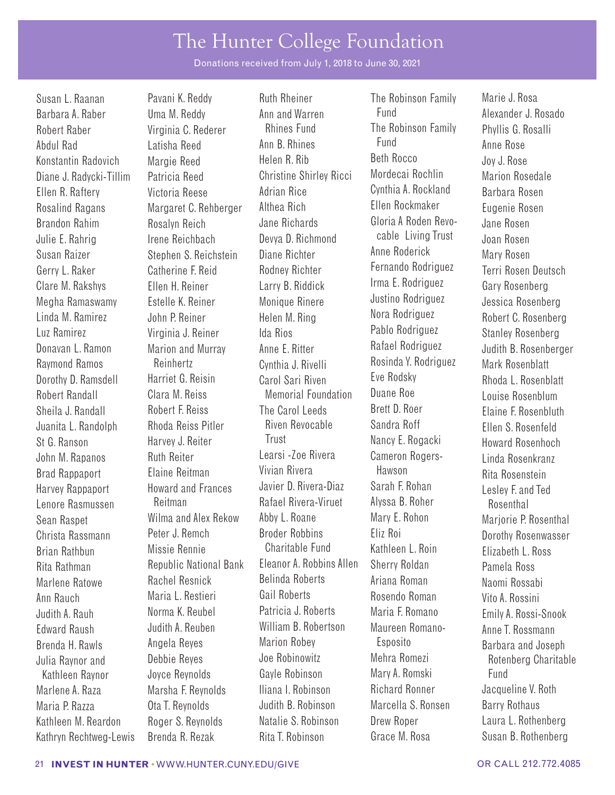Donations received from July 1, 2018 to June 30, 2021

Brandon Rahim Julie E. Rahrig Susan Raizer Gerry L. Raker Clare M. Rakshys Megha Ramaswamy Linda M. Ramirez Luz Ramirez Raymond Ramos Dorothy D. Ramsdell Harvey Rappaport Lenore Rasmussen Christa Rassmann Brian Rathbun Brenda H. Rawls Julia Raynor and

Barbara A. Raber Uma M. Reddy Ann and Warren Fund Fund Alexander J. Rosado Robert Raber Virginia C. Rederer Rhines Fund The Robinson Family Phyllis G. Rosalli Abdul Rad Latisha Reed Ann B. Rhines Fund Anne Rose Konstantin Radovich Margie Reed Helen R. Rib Beth Rocco Joy J. Rose Diane J. Radycki-Tillim Patricia Reed Christine Shirley Ricci Mordecai Rochlin Marion Rosedale Ellen R. Raftery Victoria Reese Adrian Rice Cynthia A. Rockland Barbara Rosen Rosalind Ragans Margaret C. Rehberger Althea Rich Ellen Rockmaker Eugenie Rosen Rosalyn Reich Irene Reichbach Stephen S. Reichstein Catherine F. Reid Ellen H. Reiner Estelle K. Reiner John P. Reiner Virginia J. Reiner Donavan L. Ramon Marion and Murray Anne E. Ritter Rafael Rodriguez Judith B. Rosenberger Reinhertz Harriet G. Reisin Robert Randall Clara M. Reiss Memorial Foundation Duane Roe Louise Rosenblum<br>Sheila J. Randall Robert F. Reiss The Carol Leeds Brett D. Roer Flaine E. Rosenblut Sheila J. Randall Robert F. Reiss The Carol Leeds Brett D. Roer Elaine F. Rosenbluth Juanita L. Randolph Rhoda Reiss Pitler Riven Revocable Sandra Roff Ellen S. Rosenfeld St G. Ranson Harvey J. Reiter Trust Nancy E. Rogacki Howard Rosenhoch John M. Rapanos Ruth Reiter Learsi -Zoe Rivera Cameron Rogers- Linda Rosenkranz Brad Rappaport Elaine Reitman Vivian Rivera Hawson Rita Rosenstein Howard and Frances Reitman Sean Raspet Milma and Alex Rekow Abby L. Roane Mary E. Rohon Mariorie P. Rosenthal Peter J. Remch Missie Rennie Rita Rathman Republic National Bank Eleanor A. Robbins Allen Sherry Roldan Pamela Ross Marlene Ratowe Rachel Resnick Belinda Roberts Ariana Roman Naomi Rossabi Ann Rauch Maria L. Restieri Gail Roberts Rosendo Roman Vito A. Rossini Judith A. Rauh Norma K. Reubel Patricia J. Roberts Maria F. Romano Emily A. Rossi-Snook Edward Raush Judith A. Reuben William B. Robertson Maureen Romano- Anne T. Rossmann Angela Reyes Debbie Reyes Kathleen Raynor boyce Reynolds Gayle Robinson Mary A. Romski Fund Marlene A. Raza Marsha F. Reynolds Iliana I. Robinson Richard Ronner Jacqueline V. Roth Maria P. Razza **Ota T. Reynolds** Judith B. Robinson Marcella S. Ronsen Barry Rothaus Kathleen M. Reardon Roger S. Reynolds Natalie S. Robinson Drew Roper Laura L. Rothenberg

Susan L. Raanan Pavani K. Reddy Ruth Rheiner The Robinson Family Marie J. Rosa Jane Richards Devya D. Richmond Diane Richter Rodney Richter Larry B. Riddick Monique Rinere Helen M. Ring Ida Rios Cynthia J. Rivelli Carol Sari Riven Javier D. Rivera-Diaz Rafael Rivera-Viruet Broder Robbins Charitable Fund Marion Robey Joe Robinowitz

Gloria A Roden Revocable Living Trust Anne Roderick Fernando Rodriguez Irma E. Rodriguez Justino Rodriguez Nora Rodriguez Pablo Rodriguez Rosinda Y. Rodriguez Eve Rodsky Sarah F. Rohan Alyssa B. Roher Eliz Roi Kathleen L. Roin Esposito Mehra Romezi Kathryn Rechtweg-Lewis Brenda R. Rezak Rita T. Robinson Grace M. Rosa Susan B. Rothenberg

Jane Rosen Joan Rosen Mary Rosen Terri Rosen Deutsch Gary Rosenberg Jessica Rosenberg Robert C. Rosenberg Stanley Rosenberg Mark Rosenblatt Rhoda L. Rosenblatt Lesley F. and Ted Rosenthal Dorothy Rosenwasser Elizabeth L. Ross Barbara and Joseph Rotenberg Charitable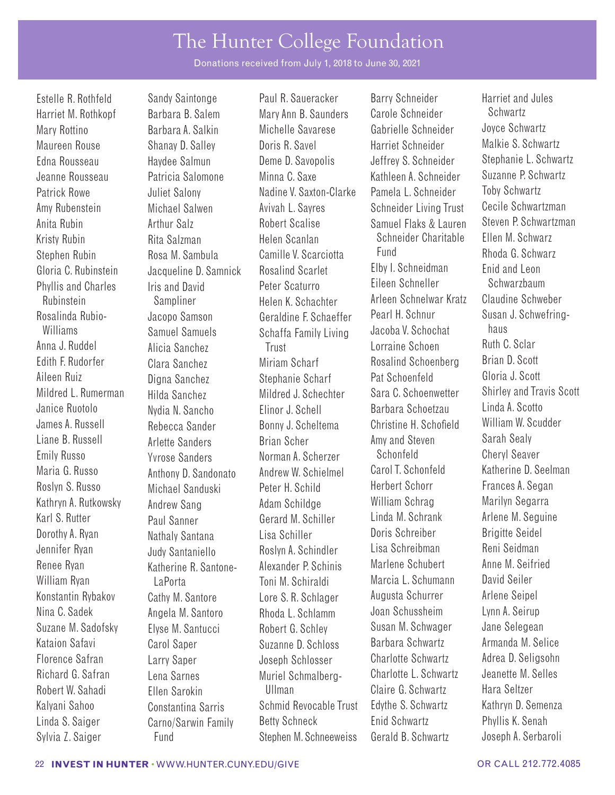Donations received from July 1, 2018 to June 30, 2021

Gloria C. Rubinstein Phyllis and Charles Rosalinda Rubio-Williams Anna J. Ruddel Aileen Ruiz Mildred L. Rumerman Janice Ruotolo James A. Russell Maria G. Russo Roslyn S. Russo Kathryn A. Rutkowsky Karl S. Rutter Dorothy A. Ryan Jennifer Ryan Renee Ryan

Jacqueline D. Samnick Iris and David Jacopo Samson Samuel Samuels Alicia Sanchez Digna Sanchez Hilda Sanchez Nydia N. Sancho Rebecca Sander Anthony D. Sandonato Michael Sanduski Andrew Sang Paul Sanner Nathaly Santana Judy Santaniello Katherine R. Santone-

Estelle R. Rothfeld Sandy Saintonge Paul R. Saueracker Barry Schneider Harriet and Jules Harriet M. Rothkopf Barbara B. Salem Mary Ann B. Saunders Carole Schneider Schwartz Mary Rottino Barbara A. Salkin Michelle Savarese Gabrielle Schneider Joyce Schwartz Maureen Rouse Shanay D. Salley Doris R. Savel Barriet Schneider Malkie S. Schwartz<br>Edna Rousseau Haydee Salmun Deme D. Savonolis Jeffrey S. Schneider Stephanie L. Schwartz Edna Rousseau Haydee Salmun Deme D. Savopolis Jeffrey S. Schneider Stephanie L. Schwartz Jeanne Rousseau Patricia Salomone Minna C. Saxe Kathleen A. Schneider Patrick Rowe **Juliet Salony** Nadine V. Saxton-Clarke Pamela L. Schneider Toby Schwartz Amy Rubenstein Michael Salwen Avivah L. Sayres Schneider Living Trust Cecile Schwartzman Anita Rubin **Arthur Salz** Robert Scalise Samuel Flaks & Lauren Steven P. Schwartzman Kristy Rubin Rita Salzman Helen Scanlan Schneider Charitable Ellen M. Schwarz<br>Stephen Pubin Rees M. Sembula Camille V. Searcietta Fund Rhoda G. Schwarz Stephen Rubin Rosa M. Sambula Camille V. Scarciotta Fund Rhoda G. Schwarz Rosalind Scarlet Peter Scaturro Rubinstein Sampliner Helen K. Schachter Arleen Schnelwar Kratz Claudine Schweber Geraldine F. Schaeffer Schaffa Family Living **Trust** Edith F. Rudorfer Clara Sanchez Miriam Scharf Rosalind Schoenberg Brian D. Scott Stephanie Scharf Mildred J. Schechter Elinor J. Schell Bonny J. Scheltema Liane B. Russell Arlette Sanders Brian Scher Amy and Steven Sarah Sealy Emily Russo Yvrose Sanders Norman A. Scherzer Schonfeld Cheryl Seaver Andrew W. Schielmel Peter H. Schild Adam Schildge Gerard M. Schiller Lisa Schiller Roslyn A. Schindler Alexander P. Schinis William Ryan LaPorta Carry Toni M. Schiraldi Marcia L. Schumann David Seiler Konstantin Rybakov Cathy M. Santore Lore S. R. Schlager Augusta Schurrer Arlene Seipel Nina C. Sadek Angela M. Santoro Rhoda L. Schlamm Joan Schussheim Lynn A. Seirup Suzane M. Sadofsky Elyse M. Santucci Robert G. Schley Susan M. Schwager Jane Selegean Kataion Safavi **Carol Saper** Suzanne D. Schloss Barbara Schwartz Florence Safran Larry Saper Joseph Schlosser Charlotte Schwartz Adrea D. Seligsohn Richard G. Safran Lena Sarnes Muriel Schmalberg- Charlotte L. Schwartz Robert W. Sahadi Ellen Sarokin Ullman Claire G. Schwartz Hara Seltzer Kalyani Sahoo Constantina Sarris Schmid Revocable Trust Edythe S. Schwartz Kathryn D. Semenza

Elby I. Schneidman Eileen Schneller Pearl H. Schnur Jacoba V. Schochat Lorraine Schoen Pat Schoenfeld Sara C. Schoenwetter Barbara Schoetzau Christine H. Schofeld Carol T. Schonfeld Herbert Schorr William Schrag Linda M. Schrank Doris Schreiber Lisa Schreibman Marlene Schubert Linda S. Saiger Carno/Sarwin Family Betty Schneck Enid Schwartz Phyllis K. Senah Sylvia Z. Saiger Fund Stephen M. Schneeweiss Gerald B. Schwartz Joseph A. Serbaroli

Enid and Leon Schwarzbaum Susan J. Schwefringhaus Ruth C. Sclar Gloria J. Scott Shirley and Travis Scott Linda A. Scotto William W. Scudder Katherine D. Seelman Frances A. Segan Marilyn Segarra Arlene M. Seguine Brigitte Seidel Reni Seidman Anne M. Seifried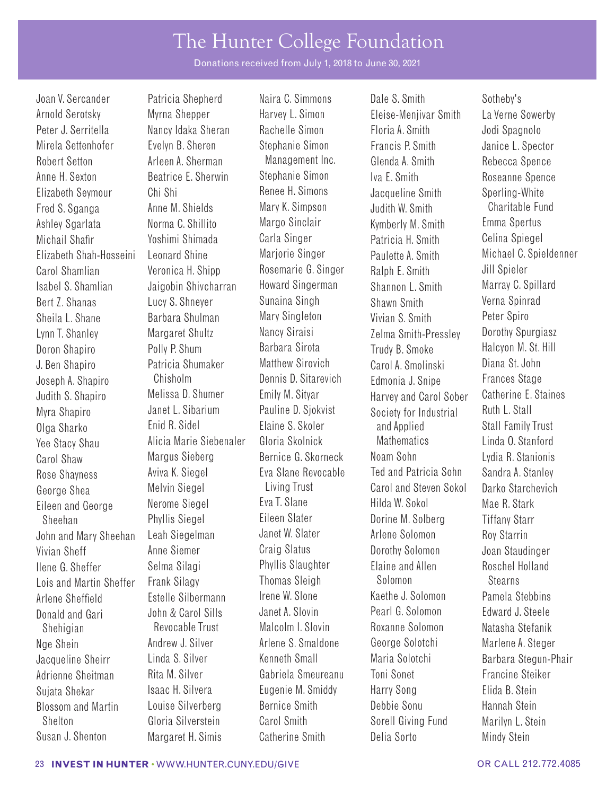Donations received from July 1, 2018 to June 30, 2021

Arnold Serotsky Myrna Shepper Harvey L. Simon Eleise-Menjivar Smith La Verne Sowerby Peter J. Serritella Mancy Idaka Sheran Rachelle Simon Floria A. Smith Jodi Spagnolo Mirela Settenhofer Fight B. Sheren Stephanie Simon Francis P. Smith Simon Janice L. Spector Robert Setton **Arleen A. Sherman** Management Inc. Glenda A. Smith Rebecca Spence Anne H. Sexton Beatrice E. Sherwin Stephanie Simon Iva E. Smith Roseanne Spence Elizabeth Seymour Chi Shi Renee H. Simons Jacqueline Smith Sperling-White<br>Fred S. Sganga Anne M. Shields Mary K. Simpson Judith W. Smith Charitable Ful Fred S. Sganga Anne M. Shields Mary K. Simpson Judith W. Smith Charitable Fund Ashley Sgarlata Morma C. Shillito Margo Sinclair Kymberly M. Smith Emma Spertus Michail Shafr Yoshimi Shimada Carla Singer Patricia H. Smith Celina Spiegel Elizabeth Shah-Hosseini Leonard Shine Marjorie Singer Paulette A. Smith Michael C. Spieldenner Carol Shamlian Veronica H. Shipp Rosemarie G. Singer Ralph E. Smith Jill Spieler Isabel S. Shamlian Jaigobin Shivcharran Howard Singerman Shannon L. Smith Marray C. Spillard Bert Z. Shanas Lucy S. Shneyer Sunaina Singh Shawn Smith Verna Spinrad Sheila L. Shane Barbara Shulman Mary Singleton Vivian S. Smith Peter Spiro Lynn T. Shanley Margaret Shultz Nancy Siraisi Zelma Smith-Pressley Dorothy Spurgiasz Doron Shapiro Polly P. Shum Barbara Sirota Trudy B. Smoke Halcyon M. St. Hill J. Ben Shapiro Patricia Shumaker Matthew Sirovich Carol A. Smolinski Diana St. John Joseph A. Shapiro Chisholm Dennis D. Sitarevich Edmonia J. Snipe Frances Stage Judith S. Shapiro Melissa D. Shumer Emily M. Sityar Harvey and Carol Sober Catherine E. Staines<br>Myra Shapiro Janet L. Sibarium Pauline D. Siokvist Society for Ind Myra Shapiro Janet L. Sibarium Pauline D. Sjokvist Society for Industrial Ruth L. Stall Olga Sharko Enid R. Sidel Elaine S. Skoler and Applied Stall Family Trust Yee Stacy Shau Alicia Marie Siebenaler Gloria Skolnick Mathematics Linda O. Stanford Carol Shaw Margus Sieberg Bernice G. Skorneck Noam Sohn Lydia R. Stanionis Rose Shayness George Shea Eileen and George Sheehan John and Mary Sheehan Leah Siegelman Janet W. Slater Arlene Solomon Roy Starrin Vivian Sheff **Anne Siemer** Craig Slatus **Dorothy Solomon** Joan Staudinger Ilene G. Sheffer Selma Silagi Phyllis Slaughter Elaine and Allen Roschel Holland<br>Lois and Martin Sheffer Frank Silagy Thomas Sleigh Solomon Stearns Lois and Martin Sheffer Frank Silagy Thomas Sleigh Solomon Stearns Arlene Sheffeld Estelle Silbermann Irene W. Slone Kaethe J. Solomon Pamela Stebbins Donald and Gari John & Carol Sills Shehigian Revocable Trust Malcolm I. Slovin Roxanne Solomon Natasha Stefanik Nge Shein **Andrew J. Silver** Arlene S. Smaldone George Solotchi Marlene A. Steger Jacqueline Sheirr Linda S. Silver Kenneth Small Maria Solotchi Barbara Stegun-Phair Adrienne Sheitman Rita M. Silver Gabriela Smeureanu Toni Sonet Francine Steiker Sujata Shekar Isaac H. Silvera Eugenie M. Smiddy Harry Song Elida B. Stein Blossom and Martin Louise Silverberg Bernice Smith Debbie Sonu Hannah Stein Shelton Gloria Silverstein Carol Smith Sorell Giving Fund Marilyn L. Stein Susan J. Shenton Margaret H. Simis Catherine Smith Delia Sorto Mindy Stein

Aviva K. Siegel Melvin Siegel Nerome Siegel Phyllis Siegel

Eva Slane Revocable Living Trust Eva T. Slane Eileen Slater

Joan V. Sercander Patricia Shepherd Naira C. Simmons Dale S. Smith Sotheby's Ted and Patricia Sohn Carol and Steven Sokol Hilda W. Sokol Dorine M. Solberg

Sandra A. Stanley Darko Starchevich Mae R. Stark Tiffany Starr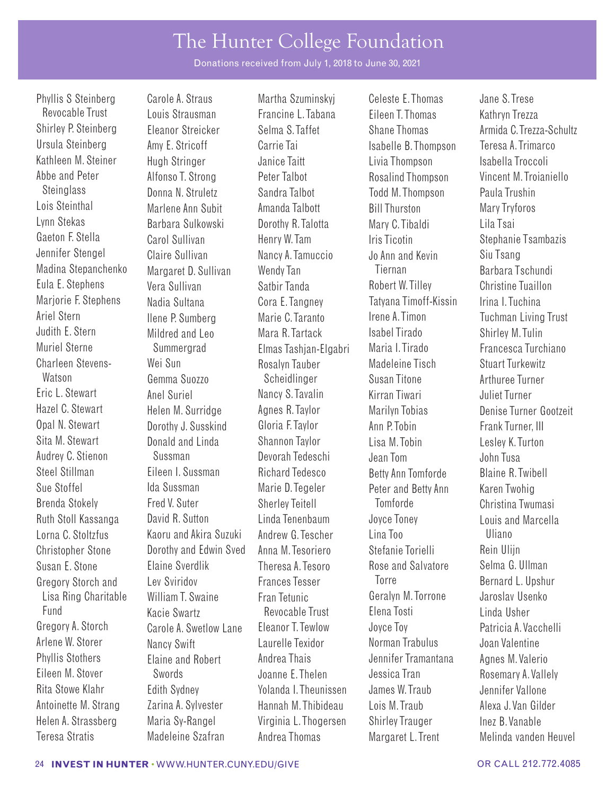Donations received from July 1, 2018 to June 30, 2021

Revocable Trust Louis Strausman Francine L. Tabana Eileen T. Thomas Kathryn Trezza Ursula Steinberg **Amy E. Stricoff** Carrie Tai **Isabelle B. Thompson** Teresa A. Trimarco Kathleen M. Steiner Hugh Stringer and Janice Taitt Livia Thompson Isabella Troccoli Abbe and Peter Alfonso T. Strong Peter Talbot Rosalind Thompson Vincent M. Troianiello Steinglass Donna N. Struletz Sandra Talbot Todd M. Thompson Paula Trushin Lois Steinthal Marlene Ann Subit Amanda Talbott Bill Thurston Mary Tryforos Barbara Sulkowski borothy R. Talotta Mary C. Tibaldi Lila Tsai Gaeton F. Stella Carol Sullivan Henry W. Tam Iris Ticotin Stephanie Tsambazis Jennifer Stengel Claire Sullivan Nancy A. Tamuccio Jo Ann and Kevin Siu Tsang Madina Stepanchenko Margaret D. Sullivan Wendy Tan Tiernan Tiernan Barbara Tschundi Eula E. Stephens Vera Sullivan Satbir Tanda Robert W. Tilley Christine Tuaillon Marjorie F. Stephens Nadia Sultana Cora E. Tangney Tatyana Timoff-Kissin Irina I. Tuchina Ariel Stern Ilene P. Sumberg Marie C. Taranto Irene A. Timon Tuchman Living Trust Judith E. Stern Mildred and Leo Mara R. Tartack Isabel Tirado Shirley M. Tulin Muriel Sterne Summergrad Elmas Tashjan-Elgabri Maria I. Tirado Francesca Turchiano Charleen Stevens- Wei Sun<br>Comma Suozzo Scheidlinger Susan Titone Matson Methuroo Turnor Watson Gemma Suozzo Scheidlinger Susan Titone Arthuree Turner Eric L. Stewart Anel Suriel Nancy S. Tavalin Kirran Tiwari Juliet Turner Opal N. Stewart **Dorothy J. Susskind** Gloria F. Taylor **Ann P. Tobin** Frank Turner, III Sita M. Stewart Donald and Linda Shannon Taylor Lisa M. Tobin Lesley K. Turton Audrey C. Stienon Sussman Devorah Tedeschi Jean Tom John Tusa Steel Stillman Eileen I. Sussman Richard Tedesco Betty Ann Tomforde Blaine R. Twibell Sue Stoffel **Ida Sussman** Marie D. Tegeler Peter and Betty Ann Karen Twohig Brenda Stokely Fred V. Suter Sherley Teitell Tomforde Christina Twumasi Ruth Stoll Kassanga David R. Sutton Linda Tenenbaum Joyce Toney Louis and Marcella Lorna C. Stoltzfus Kaoru and Akira Suzuki Andrew G. Tescher Lina Too Uliano Christopher Stone **Dorothy and Edwin Sved** Anna M. Tesoriero Stefanie Torielli Rein Ulijn Susan E. Stone Elaine Sverdlik Theresa A. Tesoro Rose and Salvatore Selma G. Ullman Gregory Storch and Lev Sviridov Frances Tesser Forre Torre Bernard L. Upshur Lisa Ring Charitable William T. Swaine Fran Tetunic Geralyn M. Torrone Jaroslav Usenko Fund Kacie Swartz Revocable Trust Elena Tosti Linda Usher Gregory A. Storch Carole A. Swetlow Lane Eleanor T. Tewlow Joyce Toy Patricia A. Vacchelli<br>Arlene W. Storer Nancy Swift I aurelle Texidor Norman Trabulus Joan Valentine Arlene W. Storer Nancy Swift Laurelle Texidor Norman Trabulus Joan Valentine Phyllis Stothers **Elaine and Robert** Andrea Thais **Jennifer Tramantana** Agnes M. Valerio Eileen M. Stover Swords Joanne E. Thelen Jessica Tran Rosemary A. Vallely Rita Stowe Klahr and Edith Sydney Nolanda I. Theunissen James W. Traub Jennifer Vallone Antoinette M. Strang Zarina A. Sylvester Hannah M. Thibideau Lois M. Traub Alexa J. Van Gilder Helen A. Strassberg Maria Sy-Rangel Virginia L. Thogersen Shirley Trauger Inez B. Vanable

Phyllis S Steinberg Carole A. Straus Martha Szuminskyj Celeste E. Thomas Jane S. Trese

Shirley P. Steinberg Fleanor Streicker Selma S. Taffet Shane Thomas Shrida C. Trezza-Schultz Hazel C. Stewart **Helen M. Surridge** Agnes R. Taylor Marilyn Tobias Denise Turner Gootzeit Teresa Stratis Madeleine Szafran Andrea Thomas Margaret L. Trent Melinda vanden Heuvel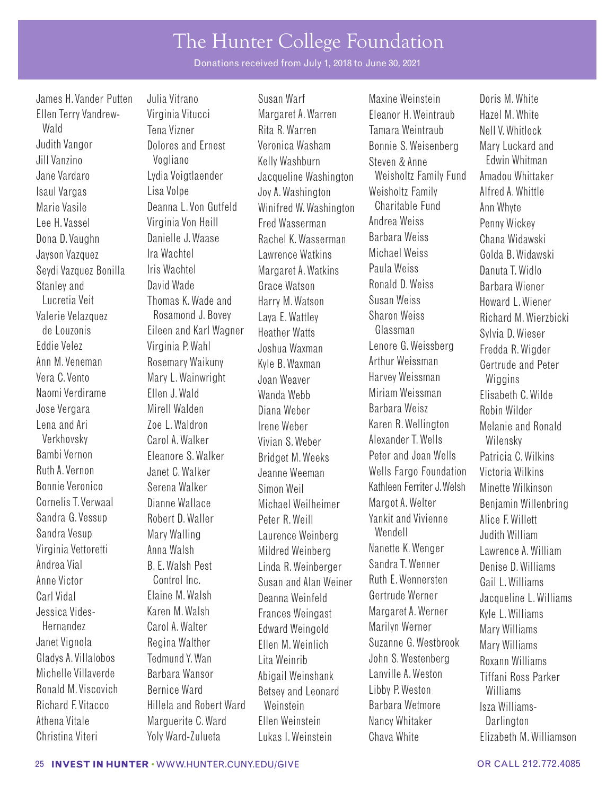Donations received from July 1, 2018 to June 30, 2021

**B** F Walsh Pest

James H. Vander Putten Uulia Vitrano Susan Warf Maxine Weinstein Doris M. White Ellen Terry Vandrew- Virginia Vitucci Margaret A.Warren Eleanor H. Weintraub Hazel M. White Wald Tena Vizner Rita R. Warren Tamara Weintraub Nell V.Whitlock Judith Vangor Dolores and Ernest Veronica Washam Bonnie S. Weisenberg Mary Luckard and Jill Vanzino Vogliano Kelly Washburn Steven & Anne Edwin Whitman Jane Vardaro Lydia Voigtlaender Jacqueline Washington Weisholtz Family Fund Amadou Whittaker Isaul Vargas Lisa Volpe Joy A. Washington Weisholtz Family Alfred A. Whittle Marie Vasile Deanna L.Von Gutfeld Winifred W. Washington Charitable Fund Ann Whyte Lee H. Vassel Virginia Von Heill Fred Wasserman Andrea Weiss Penny Wickey Dona D. Vaughn Danielle J. Waase Rachel K. Wasserman Barbara Weiss Chana Widawski Jayson Vazquez Ira Wachtel Lawrence Watkins Michael Weiss Golda B. Widawski Seydi Vazquez Bonilla Iris Wachtel Margaret A.Watkins Paula Weiss Danuta T.Widlo Stanley and David Wade Grace Watson Ronald D. Weiss Barbara Wiener Lucretia Veit Thomas K.Wade and Harry M. Watson Susan Weiss Howard L. Wiener Valerie Velazquez Rosamond J. Bovey Laya E. Wattley Sharon Weiss Richard M. Wierzbicki<br>de Louzonis Fileen and Karl Wagner Heather Watts Glassman Sylvia D. Wieser de Louzonis Eileen and Karl Wagner Heather Watts Glassman Sylvia D. Wieser Eddie Velez Virginia P. Wahl Joshua Waxman Lenore G. Weissberg Fredda R. Wigder Ann M. Veneman Rosemary Waikuny Kyle B. Waxman Arthur Weissman Gertrude and Peter Vera C. Vento Mary L. Wainwright Joan Weaver Harvey Weissman Wiggins Naomi Verdirame Ellen J. Wald Wanda Webb Miriam Weissman Elisabeth C. Wilde Jose Vergara Mirell Walden Diana Weber Barbara Weisz Robin Wilder Lena and Ari Zoe L. Waldron Irene Weber Karen R. Wellington Melanie and Ronald Carol A. Walker Vivian S. Weber Alexander T. Wells Wilensky Bambi Vernon Eleanore S. Walker Bridget M. Weeks Peter and Joan Wells Patricia C. Wilkins Ruth A. Vernon Janet C. Walker Jeanne Weeman Wells Fargo Foundation Victoria Wilkins Bonnie Veronico Serena Walker Simon Weil Kathleen Ferriter J.Welsh Minette Wilkinson Dianne Wallace Michael Weilheimer Margot A. Welter Benjamin Willenbring Sandra G. Vessup Robert D. Waller Peter R. Weill Vankit and Vivienne Alice F. Willett<br>Sandra Vesup Mary Walling Laurence Weinberg Wendell Judith William Sandra Vesup Mary Walling Laurence Weinberg Wendell Judith William Virginia Vettoretti Anna Walsh Mildred Weinberg Nanette K. Wenger Lawrence A. William Andrea Vial B. E.Walsh Pest Linda R. Weinberger Sandra T.Wenner Denise D. Williams Anne Victor **Control Inc.** Susan and Alan Weiner Ruth E. Wennersten Gail L. Williams Carl Vidal Elaine M. Walsh Deanna Weinfeld Gertrude Werner Jacqueline L. Williams Jessica Vides- Karen M. Walsh Frances Weingast Margaret A.Werner Kyle L. Williams Hernandez Carol A.Walter Edward Weingold Marilyn Werner Mary Williams Janet Vignola Regina Walther Ellen M. Weinlich Suzanne G. Westbrook Mary Williams Gladys A. Villalobos Tedmund Y.Wan Lita Weinrib John S. Westenberg Roxann Williams Michelle Villaverde Barbara Wansor Abigail Weinshank Lanville A.Weston Tiffani Ross Parker Ronald M. Viscovich Bernice Ward Betsey and Leonard Libby P. Weston Williams<br>Richard E. Vitacco Hillela and Robert Ward Weinstein Barbara Wetmore Isza Willia Hillela and Robert Ward Weinstein **Barbara Wetmore** Isza Williams-Athena Vitale **Marguerite C. Ward** Ellen Weinstein Nancy Whitaker **Darlington** Christina Viteri Yoly Ward-Zulueta Lukas I. Weinstein Chava White Elizabeth M. Williamson